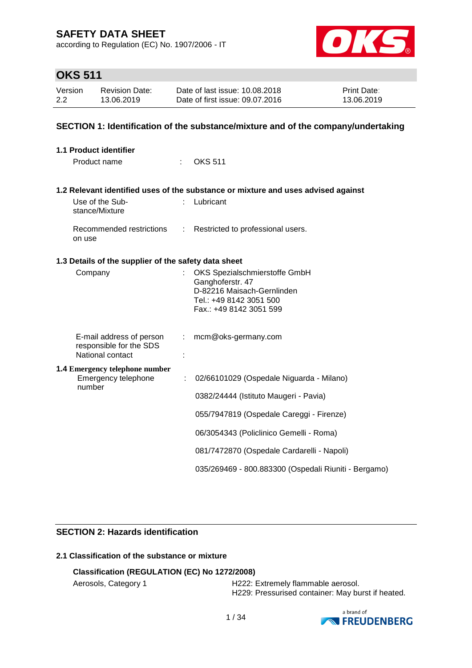according to Regulation (EC) No. 1907/2006 - IT



# **OKS 511**

| Version | Revision Date: | Date of last issue: 10.08.2018  | <b>Print Date:</b> |
|---------|----------------|---------------------------------|--------------------|
| 2.2     | 13.06.2019     | Date of first issue: 09.07.2016 | 13.06.2019         |

### **SECTION 1: Identification of the substance/mixture and of the company/undertaking**

| <b>1.1 Product identifier</b>                        |                            |                                                                                   |
|------------------------------------------------------|----------------------------|-----------------------------------------------------------------------------------|
| Product name                                         |                            | <b>OKS 511</b>                                                                    |
|                                                      |                            |                                                                                   |
|                                                      |                            | 1.2 Relevant identified uses of the substance or mixture and uses advised against |
| Use of the Sub-<br>stance/Mixture                    |                            | Lubricant                                                                         |
| Recommended restrictions<br>on use                   | $\mathcal{L}^{\text{max}}$ | Restricted to professional users.                                                 |
| 1.3 Details of the supplier of the safety data sheet |                            |                                                                                   |
| Company                                              |                            | OKS Spezialschmierstoffe GmbH                                                     |
|                                                      |                            | Ganghoferstr. 47<br>D-82216 Maisach-Gernlinden                                    |
|                                                      |                            | Tel.: +49 8142 3051 500                                                           |
|                                                      |                            | Fax.: +49 8142 3051 599                                                           |
| E-mail address of person                             |                            | mcm@oks-germany.com                                                               |
| responsible for the SDS<br>National contact          |                            |                                                                                   |
| <b>1.4 Emergency telephone number</b>                |                            |                                                                                   |
| Emergency telephone<br>number                        | ÷                          | 02/66101029 (Ospedale Niguarda - Milano)                                          |
|                                                      |                            | 0382/24444 (Istituto Maugeri - Pavia)                                             |
|                                                      |                            | 055/7947819 (Ospedale Careggi - Firenze)                                          |
|                                                      |                            | 06/3054343 (Policlinico Gemelli - Roma)                                           |
|                                                      |                            | 081/7472870 (Ospedale Cardarelli - Napoli)                                        |
|                                                      |                            | 035/269469 - 800.883300 (Ospedali Riuniti - Bergamo)                              |

### **SECTION 2: Hazards identification**

## **2.1 Classification of the substance or mixture**

### **Classification (REGULATION (EC) No 1272/2008)**

Aerosols, Category 1 **H222: Extremely flammable aerosol.** H229: Pressurised container: May burst if heated.

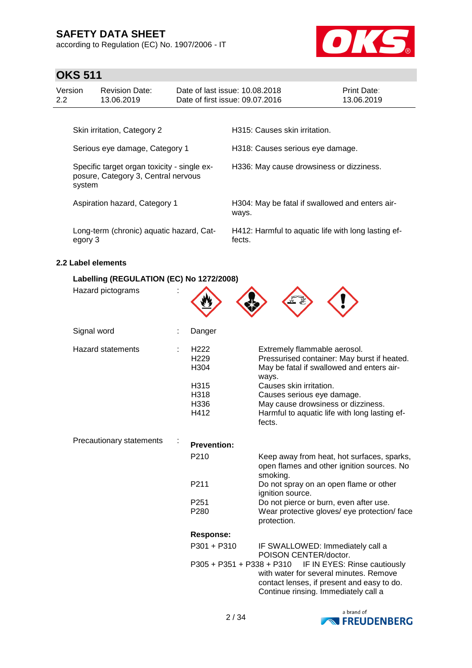according to Regulation (EC) No. 1907/2006 - IT



## **OKS 511**

| Version | <b>Revision Date:</b>       | Date of last issue: 10.08.2018  | <b>Print Date:</b> |
|---------|-----------------------------|---------------------------------|--------------------|
| 2.2     | 13.06.2019                  | Date of first issue: 09.07.2016 | 13.06.2019         |
|         | Skin irritation, Category 2 | H315: Causes skin irritation.   |                    |

Serious eye damage, Category 1 H318: Causes serious eye damage. Specific target organ toxicity - single exposure, Category 3, Central nervous system H336: May cause drowsiness or dizziness. Aspiration hazard, Category 1 **H304: May be fatal if swallowed and enters air**ways. Long-term (chronic) aquatic hazard, Category 3 H412: Harmful to aquatic life with long lasting effects.

### **2.2 Label elements**

### **Labelling (REGULATION (EC) No 1272/2008)**

| Hazard pictograms               |                                              |                                                                                                                                                              |
|---------------------------------|----------------------------------------------|--------------------------------------------------------------------------------------------------------------------------------------------------------------|
| Signal word                     | Danger                                       |                                                                                                                                                              |
| <b>Hazard statements</b>        | H <sub>222</sub><br>H <sub>229</sub><br>H304 | Extremely flammable aerosol.<br>Pressurised container: May burst if heated.<br>May be fatal if swallowed and enters air-<br>ways.                            |
|                                 | H315                                         | Causes skin irritation.                                                                                                                                      |
|                                 | H318                                         | Causes serious eye damage.                                                                                                                                   |
|                                 | H336                                         | May cause drowsiness or dizziness.                                                                                                                           |
|                                 | H412                                         | Harmful to aquatic life with long lasting ef-<br>fects.                                                                                                      |
| <b>Precautionary statements</b> | <b>Prevention:</b>                           |                                                                                                                                                              |
|                                 | P210                                         | Keep away from heat, hot surfaces, sparks,<br>open flames and other ignition sources. No<br>smoking.                                                         |
|                                 | P211                                         | Do not spray on an open flame or other<br>ignition source.                                                                                                   |
|                                 | P <sub>251</sub>                             | Do not pierce or burn, even after use.                                                                                                                       |
|                                 | P280                                         | Wear protective gloves/ eye protection/ face<br>protection.                                                                                                  |
|                                 | <b>Response:</b>                             |                                                                                                                                                              |
|                                 | P301 + P310                                  | IF SWALLOWED: Immediately call a<br>POISON CENTER/doctor.                                                                                                    |
|                                 | P305 + P351 + P338 + P310                    | IF IN EYES: Rinse cautiously<br>with water for several minutes. Remove<br>contact lenses, if present and easy to do.<br>Continue rinsing. Immediately call a |

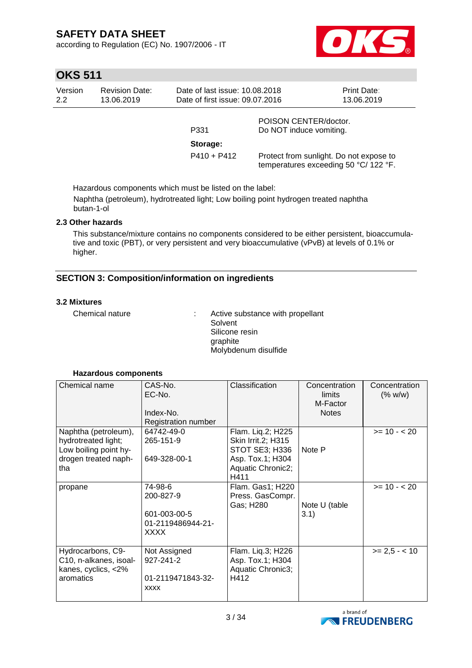according to Regulation (EC) No. 1907/2006 - IT



# **OKS 511**

| Version<br>2.2 | <b>Revision Date:</b><br>13.06.2019 | Date of last issue: 10.08.2018<br>Date of first issue: 09.07.2016 |                                                  | <b>Print Date:</b><br>13.06.2019 |
|----------------|-------------------------------------|-------------------------------------------------------------------|--------------------------------------------------|----------------------------------|
|                |                                     | P331                                                              | POISON CENTER/doctor.<br>Do NOT induce vomiting. |                                  |
|                |                                     | Storage:                                                          |                                                  |                                  |

Hazardous components which must be listed on the label:

Naphtha (petroleum), hydrotreated light; Low boiling point hydrogen treated naphtha butan-1-ol

### **2.3 Other hazards**

This substance/mixture contains no components considered to be either persistent, bioaccumulative and toxic (PBT), or very persistent and very bioaccumulative (vPvB) at levels of 0.1% or higher.

### **SECTION 3: Composition/information on ingredients**

### **3.2 Mixtures**

Chemical nature : Active substance with propellant Solvent Silicone resin graphite Molybdenum disulfide

P410 + P412 Protect from sunlight. Do not expose to

temperatures exceeding 50 °C/ 122 °F.

| Chemical name                                                                                       | CAS-No.<br>EC-No.<br>Index-No.<br>Registration number                    | Classification                                                                                             | Concentration<br>limits<br>M-Factor<br><b>Notes</b> | Concentration<br>(% w/w) |
|-----------------------------------------------------------------------------------------------------|--------------------------------------------------------------------------|------------------------------------------------------------------------------------------------------------|-----------------------------------------------------|--------------------------|
| Naphtha (petroleum),<br>hydrotreated light;<br>Low boiling point hy-<br>drogen treated naph-<br>tha | 64742-49-0<br>265-151-9<br>649-328-00-1                                  | Flam. Liq.2; H225<br>Skin Irrit.2; H315<br>STOT SE3; H336<br>Asp. Tox.1; H304<br>Aquatic Chronic2;<br>H411 | Note P                                              | $>= 10 - 20$             |
| propane                                                                                             | 74-98-6<br>200-827-9<br>601-003-00-5<br>01-2119486944-21-<br><b>XXXX</b> | Flam. Gas1; H220<br>Press. GasCompr.<br>Gas; H280                                                          | Note U (table<br>3.1)                               | $>= 10 - 20$             |
| Hydrocarbons, C9-<br>C10, n-alkanes, isoal-<br>kanes, cyclics, <2%<br>aromatics                     | Not Assigned<br>927-241-2<br>01-2119471843-32-<br><b>XXXX</b>            | Flam. Liq.3; H226<br>Asp. Tox.1; H304<br>Aquatic Chronic3;<br>H412                                         |                                                     | $>= 2.5 - 10$            |

### **Hazardous components**

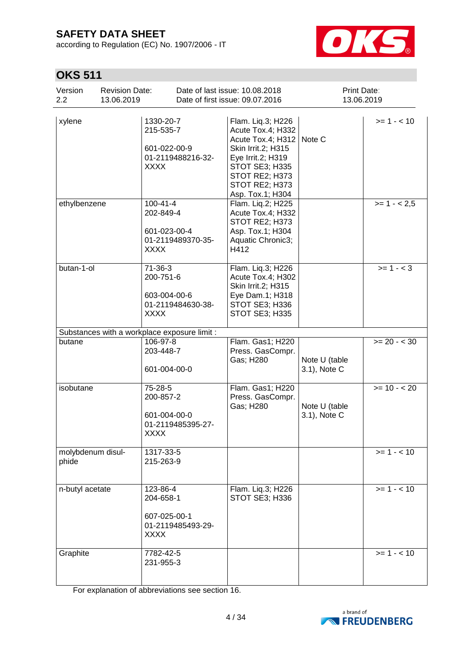according to Regulation (EC) No. 1907/2006 - IT



# **OKS 511**

| Version<br>2.2             | <b>Revision Date:</b><br>13.06.2019 |                                                                                 | Date of last issue: 10.08.2018<br>Date of first issue: 09.07.2016                                                                                                                |                               | Print Date:<br>13.06.2019 |
|----------------------------|-------------------------------------|---------------------------------------------------------------------------------|----------------------------------------------------------------------------------------------------------------------------------------------------------------------------------|-------------------------------|---------------------------|
| xylene                     |                                     | 1330-20-7<br>215-535-7<br>601-022-00-9<br>01-2119488216-32-<br><b>XXXX</b>      | Flam. Liq.3; H226<br>Acute Tox.4; H332<br>Acute Tox.4; H312<br>Skin Irrit.2; H315<br>Eye Irrit.2; H319<br>STOT SE3; H335<br>STOT RE2; H373<br>STOT RE2; H373<br>Asp. Tox.1; H304 | Note C                        | $>= 1 - 10$               |
| ethylbenzene               |                                     | $100 - 41 - 4$<br>202-849-4<br>601-023-00-4<br>01-2119489370-35-<br><b>XXXX</b> | Flam. Liq.2; H225<br>Acute Tox.4; H332<br>STOT RE2; H373<br>Asp. Tox.1; H304<br>Aquatic Chronic3;<br>H412                                                                        |                               | $>= 1 - 2.5$              |
| butan-1-ol                 |                                     | 71-36-3<br>200-751-6<br>603-004-00-6<br>01-2119484630-38-<br><b>XXXX</b>        | Flam. Liq.3; H226<br>Acute Tox.4; H302<br>Skin Irrit.2; H315<br>Eye Dam.1; H318<br>STOT SE3; H336<br><b>STOT SE3; H335</b>                                                       |                               | $>= 1 - < 3$              |
|                            |                                     | Substances with a workplace exposure limit :                                    |                                                                                                                                                                                  |                               |                           |
| butane                     |                                     | 106-97-8<br>203-448-7<br>601-004-00-0                                           | Flam. Gas1; H220<br>Press. GasCompr.<br>Gas; H280                                                                                                                                | Note U (table<br>3.1), Note C | $>= 20 - 30$              |
| isobutane                  |                                     | 75-28-5<br>200-857-2<br>601-004-00-0<br>01-2119485395-27-<br><b>XXXX</b>        | Flam. Gas1; H220<br>Press. GasCompr.<br>Gas; H280                                                                                                                                | Note U (table<br>3.1), Note C | $>= 10 - 20$              |
| molybdenum disul-<br>phide |                                     | 1317-33-5<br>215-263-9                                                          |                                                                                                                                                                                  |                               | $>= 1 - 10$               |
| n-butyl acetate            |                                     | 123-86-4<br>204-658-1<br>607-025-00-1<br>01-2119485493-29-<br>XXXX              | Flam. Liq.3; H226<br>STOT SE3; H336                                                                                                                                              |                               | $>= 1 - 10$               |
| Graphite                   |                                     | 7782-42-5<br>231-955-3                                                          |                                                                                                                                                                                  |                               | $>= 1 - 10$               |

For explanation of abbreviations see section 16.

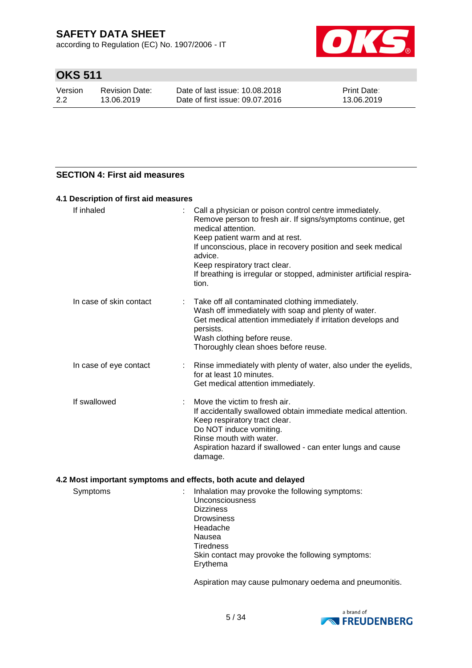according to Regulation (EC) No. 1907/2006 - IT



# **OKS 511**

| Version | Revision Date: | Date of last issue: 10.08.2018  | <b>Print Date:</b> |
|---------|----------------|---------------------------------|--------------------|
| 2.2     | 13.06.2019     | Date of first issue: 09.07.2016 | 13.06.2019         |

### **SECTION 4: First aid measures**

### **4.1 Description of first aid measures**

| If inhaled              | Call a physician or poison control centre immediately.<br>Remove person to fresh air. If signs/symptoms continue, get<br>medical attention.<br>Keep patient warm and at rest.<br>If unconscious, place in recovery position and seek medical<br>advice.<br>Keep respiratory tract clear.<br>If breathing is irregular or stopped, administer artificial respira-<br>tion. |
|-------------------------|---------------------------------------------------------------------------------------------------------------------------------------------------------------------------------------------------------------------------------------------------------------------------------------------------------------------------------------------------------------------------|
| In case of skin contact | Take off all contaminated clothing immediately.<br>Wash off immediately with soap and plenty of water.<br>Get medical attention immediately if irritation develops and<br>persists.<br>Wash clothing before reuse.<br>Thoroughly clean shoes before reuse.                                                                                                                |
| In case of eye contact  | Rinse immediately with plenty of water, also under the eyelids,<br>for at least 10 minutes.<br>Get medical attention immediately.                                                                                                                                                                                                                                         |
| If swallowed            | Move the victim to fresh air.<br>If accidentally swallowed obtain immediate medical attention.<br>Keep respiratory tract clear.<br>Do NOT induce vomiting.<br>Rinse mouth with water.<br>Aspiration hazard if swallowed - can enter lungs and cause<br>damage.                                                                                                            |

### **4.2 Most important symptoms and effects, both acute and delayed**

| Symptoms | Inhalation may provoke the following symptoms:   |
|----------|--------------------------------------------------|
|          | <b>Unconsciousness</b>                           |
|          | <b>Dizziness</b>                                 |
|          | <b>Drowsiness</b>                                |
|          | Headache                                         |
|          | Nausea                                           |
|          | <b>Tiredness</b>                                 |
|          | Skin contact may provoke the following symptoms: |
|          | Erythema                                         |
|          |                                                  |

Aspiration may cause pulmonary oedema and pneumonitis.

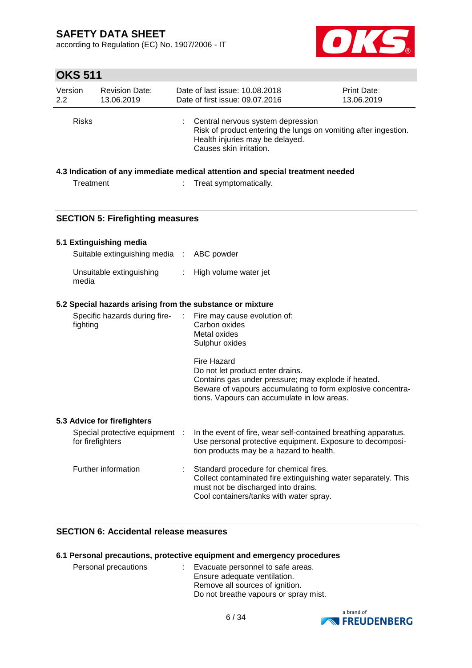according to Regulation (EC) No. 1907/2006 - IT



# **OKS 511**

| Version      | <b>Revision Date:</b> | Date of last issue: 10.08.2018                                                                  |                                                                 | <b>Print Date:</b> |
|--------------|-----------------------|-------------------------------------------------------------------------------------------------|-----------------------------------------------------------------|--------------------|
| 2.2          | 13.06.2019            | Date of first issue: 09.07.2016                                                                 |                                                                 | 13.06.2019         |
| <b>Risks</b> |                       | Central nervous system depression<br>Health injuries may be delayed.<br>Causes skin irritation. | Risk of product entering the lungs on vomiting after ingestion. |                    |

### **4.3 Indication of any immediate medical attention and special treatment needed**

| Treatment | Treat symptomatically. |
|-----------|------------------------|
|           |                        |

### **SECTION 5: Firefighting measures**

### **5.1 Extinguishing media** Suitable extinguishing media : ABC powder

| Unsuitable extinguishing<br>media | High volume water jet |
|-----------------------------------|-----------------------|

### **5.2 Special hazards arising from the substance or mixture**

| Specific hazards during fire-<br>fighting          | ÷. | Fire may cause evolution of:<br>Carbon oxides<br>Metal oxides<br>Sulphur oxides                                                                                                                                      |
|----------------------------------------------------|----|----------------------------------------------------------------------------------------------------------------------------------------------------------------------------------------------------------------------|
|                                                    |    | Fire Hazard<br>Do not let product enter drains.<br>Contains gas under pressure; may explode if heated.<br>Beware of vapours accumulating to form explosive concentra-<br>tions. Vapours can accumulate in low areas. |
| 5.3 Advice for firefighters                        |    |                                                                                                                                                                                                                      |
| Special protective equipment :<br>for firefighters |    | In the event of fire, wear self-contained breathing apparatus.<br>Use personal protective equipment. Exposure to decomposi-<br>tion products may be a hazard to health.                                              |
| Further information                                |    | Standard procedure for chemical fires.<br>Collect contaminated fire extinguishing water separately. This<br>must not be discharged into drains.                                                                      |

Cool containers/tanks with water spray.

### **SECTION 6: Accidental release measures**

### **6.1 Personal precautions, protective equipment and emergency procedures**

| Personal precautions | : Evacuate personnel to safe areas.<br>Ensure adequate ventilation.<br>Remove all sources of ignition. |  |
|----------------------|--------------------------------------------------------------------------------------------------------|--|
|                      |                                                                                                        |  |
|                      |                                                                                                        |  |
|                      | Do not breathe vapours or spray mist.                                                                  |  |

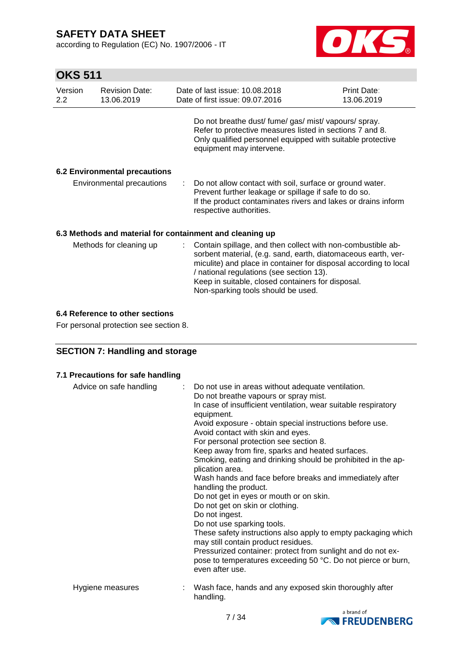according to Regulation (EC) No. 1907/2006 - IT



# **OKS 511**

| Version<br>$2.2\phantom{0}$                           | <b>Revision Date:</b><br>13.06.2019                      |  | Date of last issue: 10.08.2018<br>Date of first issue: 09.07.2016                                                                                                                                                                                                                                                                       | Print Date:<br>13.06.2019 |  |  |  |
|-------------------------------------------------------|----------------------------------------------------------|--|-----------------------------------------------------------------------------------------------------------------------------------------------------------------------------------------------------------------------------------------------------------------------------------------------------------------------------------------|---------------------------|--|--|--|
|                                                       |                                                          |  | Do not breathe dust/fume/gas/mist/vapours/spray.<br>Refer to protective measures listed in sections 7 and 8.<br>Only qualified personnel equipped with suitable protective<br>equipment may intervene.                                                                                                                                  |                           |  |  |  |
|                                                       | <b>6.2 Environmental precautions</b>                     |  |                                                                                                                                                                                                                                                                                                                                         |                           |  |  |  |
| Environmental precautions                             |                                                          |  | Do not allow contact with soil, surface or ground water.<br>Prevent further leakage or spillage if safe to do so.<br>If the product contaminates rivers and lakes or drains inform<br>respective authorities.                                                                                                                           |                           |  |  |  |
|                                                       | 6.3 Methods and material for containment and cleaning up |  |                                                                                                                                                                                                                                                                                                                                         |                           |  |  |  |
| Methods for cleaning up<br>$\mathcal{L}^{\text{max}}$ |                                                          |  | Contain spillage, and then collect with non-combustible ab-<br>sorbent material, (e.g. sand, earth, diatomaceous earth, ver-<br>miculite) and place in container for disposal according to local<br>/ national regulations (see section 13).<br>Keep in suitable, closed containers for disposal.<br>Non-sparking tools should be used. |                           |  |  |  |

### **6.4 Reference to other sections**

For personal protection see section 8.

### **SECTION 7: Handling and storage**

| 7.1 Precautions for safe handling |                                                                                                                                                                                                                                                                                                                                                                                                                                                                                                                                                                                                                                                                                                                                                                                                                                                                                                                                          |
|-----------------------------------|------------------------------------------------------------------------------------------------------------------------------------------------------------------------------------------------------------------------------------------------------------------------------------------------------------------------------------------------------------------------------------------------------------------------------------------------------------------------------------------------------------------------------------------------------------------------------------------------------------------------------------------------------------------------------------------------------------------------------------------------------------------------------------------------------------------------------------------------------------------------------------------------------------------------------------------|
| Advice on safe handling<br>÷.     | Do not use in areas without adequate ventilation.<br>Do not breathe vapours or spray mist.<br>In case of insufficient ventilation, wear suitable respiratory<br>equipment.<br>Avoid exposure - obtain special instructions before use.<br>Avoid contact with skin and eyes.<br>For personal protection see section 8.<br>Keep away from fire, sparks and heated surfaces.<br>Smoking, eating and drinking should be prohibited in the ap-<br>plication area.<br>Wash hands and face before breaks and immediately after<br>handling the product.<br>Do not get in eyes or mouth or on skin.<br>Do not get on skin or clothing.<br>Do not ingest.<br>Do not use sparking tools.<br>These safety instructions also apply to empty packaging which<br>may still contain product residues.<br>Pressurized container: protect from sunlight and do not ex-<br>pose to temperatures exceeding 50 °C. Do not pierce or burn,<br>even after use. |
| Hygiene measures                  | Wash face, hands and any exposed skin thoroughly after<br>handling.                                                                                                                                                                                                                                                                                                                                                                                                                                                                                                                                                                                                                                                                                                                                                                                                                                                                      |

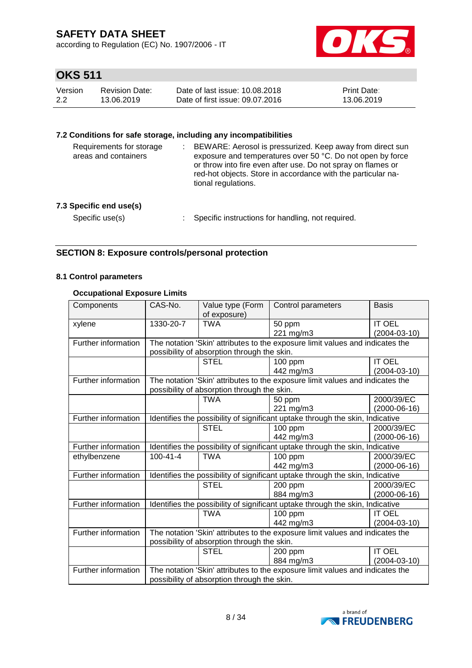according to Regulation (EC) No. 1907/2006 - IT



# **OKS 511**

| Version | Revision Date: | Date of last issue: 10.08.2018  | <b>Print Date:</b> |
|---------|----------------|---------------------------------|--------------------|
| 2.2     | 13.06.2019     | Date of first issue: 09.07.2016 | 13.06.2019         |

### **7.2 Conditions for safe storage, including any incompatibilities**

| Requirements for storage<br>areas and containers | BEWARE: Aerosol is pressurized. Keep away from direct sun<br>exposure and temperatures over 50 °C. Do not open by force<br>or throw into fire even after use. Do not spray on flames or<br>red-hot objects. Store in accordance with the particular na-<br>tional regulations. |
|--------------------------------------------------|--------------------------------------------------------------------------------------------------------------------------------------------------------------------------------------------------------------------------------------------------------------------------------|
| 7.3 Specific end use(s)                          |                                                                                                                                                                                                                                                                                |
| Specific use(s)                                  | Specific instructions for handling, not required.                                                                                                                                                                                                                              |

### **SECTION 8: Exposure controls/personal protection**

### **8.1 Control parameters**

### **Occupational Exposure Limits**

| Components          | CAS-No.                                                                       | Value type (Form<br>of exposure)                                              | Control parameters                                                            | <b>Basis</b>       |  |
|---------------------|-------------------------------------------------------------------------------|-------------------------------------------------------------------------------|-------------------------------------------------------------------------------|--------------------|--|
| xylene              | 1330-20-7                                                                     | <b>TWA</b>                                                                    | 50 ppm                                                                        | <b>IT OEL</b>      |  |
|                     |                                                                               |                                                                               | 221 mg/m3                                                                     | $(2004 - 03 - 10)$ |  |
| Further information |                                                                               |                                                                               | The notation 'Skin' attributes to the exposure limit values and indicates the |                    |  |
|                     |                                                                               | possibility of absorption through the skin.                                   |                                                                               |                    |  |
|                     |                                                                               | <b>STEL</b>                                                                   | 100 ppm                                                                       | <b>IT OEL</b>      |  |
|                     |                                                                               |                                                                               | 442 mg/m3                                                                     | $(2004 - 03 - 10)$ |  |
| Further information |                                                                               |                                                                               | The notation 'Skin' attributes to the exposure limit values and indicates the |                    |  |
|                     |                                                                               | possibility of absorption through the skin.                                   |                                                                               |                    |  |
|                     |                                                                               | <b>TWA</b>                                                                    | 50 ppm                                                                        | 2000/39/EC         |  |
|                     |                                                                               |                                                                               | 221 mg/m3                                                                     | $(2000-06-16)$     |  |
| Further information |                                                                               | Identifies the possibility of significant uptake through the skin, Indicative |                                                                               |                    |  |
|                     |                                                                               | <b>STEL</b>                                                                   | $100$ ppm                                                                     | 2000/39/EC         |  |
|                     |                                                                               |                                                                               | 442 mg/m3                                                                     | $(2000-06-16)$     |  |
| Further information | Identifies the possibility of significant uptake through the skin, Indicative |                                                                               |                                                                               |                    |  |
| ethylbenzene        | $100 - 41 - 4$                                                                | <b>TWA</b>                                                                    | $100$ ppm                                                                     | 2000/39/EC         |  |
|                     |                                                                               |                                                                               | 442 mg/m3                                                                     | $(2000-06-16)$     |  |
| Further information |                                                                               | Identifies the possibility of significant uptake through the skin, Indicative |                                                                               |                    |  |
|                     |                                                                               | <b>STEL</b>                                                                   | 200 ppm                                                                       | 2000/39/EC         |  |
|                     |                                                                               |                                                                               | 884 mg/m3                                                                     | $(2000-06-16)$     |  |
| Further information |                                                                               |                                                                               | Identifies the possibility of significant uptake through the skin, Indicative |                    |  |
|                     |                                                                               | <b>TWA</b>                                                                    | $\overline{1}00$ ppm                                                          | <b>IT OEL</b>      |  |
|                     |                                                                               |                                                                               | 442 mg/m3                                                                     | $(2004 - 03 - 10)$ |  |
| Further information | The notation 'Skin' attributes to the exposure limit values and indicates the |                                                                               |                                                                               |                    |  |
|                     | possibility of absorption through the skin.                                   |                                                                               |                                                                               |                    |  |
|                     |                                                                               | <b>STEL</b>                                                                   | 200 ppm                                                                       | <b>IT OEL</b>      |  |
|                     |                                                                               |                                                                               | 884 mg/m3                                                                     | $(2004 - 03 - 10)$ |  |
| Further information | The notation 'Skin' attributes to the exposure limit values and indicates the |                                                                               |                                                                               |                    |  |
|                     | possibility of absorption through the skin.                                   |                                                                               |                                                                               |                    |  |

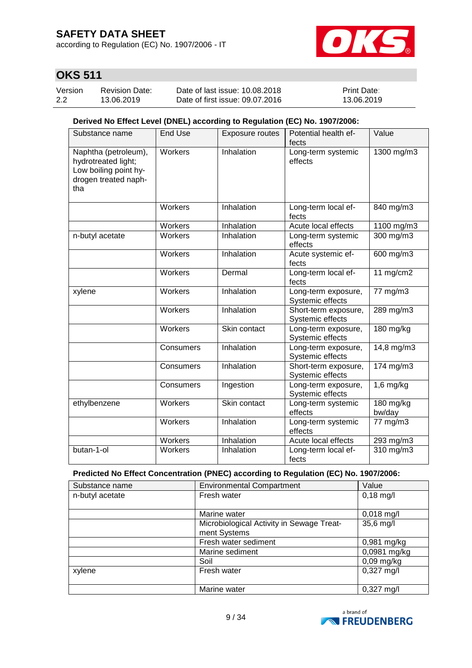according to Regulation (EC) No. 1907/2006 - IT



# **OKS 511**

| Version | <b>Revision Date:</b> | Date of last issue: 10.08.2018  | <b>Print Date:</b> |
|---------|-----------------------|---------------------------------|--------------------|
| 2.2     | 13.06.2019            | Date of first issue: 09.07.2016 | 13.06.2019         |

### **Derived No Effect Level (DNEL) according to Regulation (EC) No. 1907/2006:**

| Substance name                                                                                      | <b>End Use</b> | Exposure routes | Potential health ef-<br>fects            | Value               |
|-----------------------------------------------------------------------------------------------------|----------------|-----------------|------------------------------------------|---------------------|
| Naphtha (petroleum),<br>hydrotreated light;<br>Low boiling point hy-<br>drogen treated naph-<br>tha | Workers        | Inhalation      | Long-term systemic<br>effects            | 1300 mg/m3          |
|                                                                                                     | Workers        | Inhalation      | Long-term local ef-<br>fects             | 840 mg/m3           |
|                                                                                                     | Workers        | Inhalation      | Acute local effects                      | 1100 mg/m3          |
| n-butyl acetate                                                                                     | Workers        | Inhalation      | Long-term systemic<br>effects            | 300 mg/m3           |
|                                                                                                     | Workers        | Inhalation      | Acute systemic ef-<br>fects              | 600 mg/m3           |
|                                                                                                     | Workers        | Dermal          | Long-term local ef-<br>fects             | 11 $mg/cm2$         |
| xylene                                                                                              | Workers        | Inhalation      | Long-term exposure,<br>Systemic effects  | 77 mg/m3            |
|                                                                                                     | Workers        | Inhalation      | Short-term exposure,<br>Systemic effects | 289 mg/m3           |
|                                                                                                     | Workers        | Skin contact    | Long-term exposure,<br>Systemic effects  | 180 mg/kg           |
|                                                                                                     | Consumers      | Inhalation      | Long-term exposure,<br>Systemic effects  | 14,8 mg/m3          |
|                                                                                                     | Consumers      | Inhalation      | Short-term exposure,<br>Systemic effects | 174 mg/m3           |
|                                                                                                     | Consumers      | Ingestion       | Long-term exposure,<br>Systemic effects  | $1,6$ mg/kg         |
| ethylbenzene                                                                                        | Workers        | Skin contact    | Long-term systemic<br>effects            | 180 mg/kg<br>bw/day |
|                                                                                                     | Workers        | Inhalation      | Long-term systemic<br>effects            | 77 mg/m3            |
|                                                                                                     | Workers        | Inhalation      | Acute local effects                      | 293 mg/m3           |
| butan-1-ol                                                                                          | Workers        | Inhalation      | Long-term local ef-<br>fects             | 310 mg/m3           |

### **Predicted No Effect Concentration (PNEC) according to Regulation (EC) No. 1907/2006:**

| Substance name  | <b>Environmental Compartment</b>          | Value                |
|-----------------|-------------------------------------------|----------------------|
| n-butyl acetate | Fresh water                               | $0,18$ mg/l          |
|                 |                                           |                      |
|                 | Marine water                              | $0,018$ mg/l         |
|                 | Microbiological Activity in Sewage Treat- | $35,6$ mg/l          |
|                 | ment Systems                              |                      |
|                 | Fresh water sediment                      | $0,981$ mg/kg        |
|                 | Marine sediment                           | 0,0981 mg/kg         |
|                 | Soil                                      | $0,09$ mg/kg         |
| xylene          | Fresh water                               | $0,327$ mg/l         |
|                 |                                           |                      |
|                 | Marine water                              | $0,327 \text{ mg/l}$ |

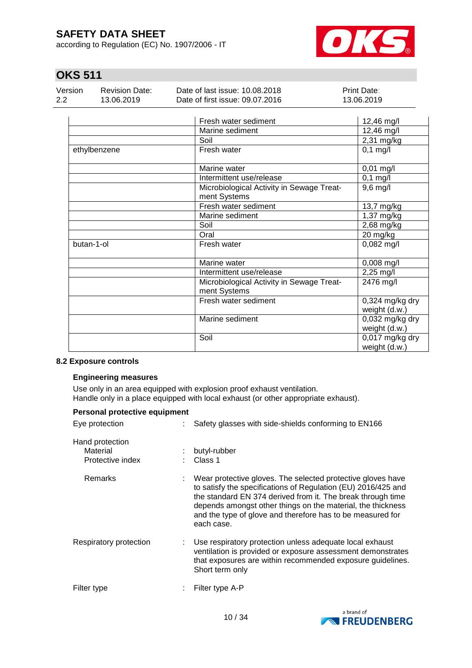according to Regulation (EC) No. 1907/2006 - IT



# **OKS 511**

| Version | <b>Revision Date:</b> | Date of last issue: 10.08.2018  | <b>Print Date:</b> |
|---------|-----------------------|---------------------------------|--------------------|
| -2.2    | 13.06.2019            | Date of first issue: 09.07.2016 | 13.06.2019         |
|         |                       |                                 |                    |

|              | Fresh water sediment                                      | 12,46 mg/l                         |
|--------------|-----------------------------------------------------------|------------------------------------|
|              | Marine sediment                                           | 12,46 mg/l                         |
|              | Soil                                                      | 2,31 mg/kg                         |
| ethylbenzene | Fresh water                                               | $0,1$ mg/l                         |
|              | Marine water                                              | $0,01$ mg/l                        |
|              | Intermittent use/release                                  | $0,1$ mg/l                         |
|              | Microbiological Activity in Sewage Treat-<br>ment Systems | $9,6$ mg/l                         |
|              | Fresh water sediment                                      | 13,7 mg/kg                         |
|              | Marine sediment                                           | 1,37 mg/kg                         |
|              | Soil                                                      | 2,68 mg/kg                         |
|              | Oral                                                      | 20 mg/kg                           |
| butan-1-ol   | Fresh water                                               | $0,082$ mg/l                       |
|              | Marine water                                              | $0,008$ mg/l                       |
|              | Intermittent use/release                                  | 2,25 mg/l                          |
|              | Microbiological Activity in Sewage Treat-<br>ment Systems | 2476 mg/l                          |
|              | Fresh water sediment                                      | $0,324$ mg/kg dry<br>weight (d.w.) |
|              | Marine sediment                                           | 0,032 mg/kg dry<br>weight (d.w.)   |
|              | Soil                                                      | 0,017 mg/kg dry<br>weight (d.w.)   |

### **8.2 Exposure controls**

### **Engineering measures**

Use only in an area equipped with explosion proof exhaust ventilation. Handle only in a place equipped with local exhaust (or other appropriate exhaust).

| Personal protective equipment                   |                                                                                                                                                                                                                                                                                                                                        |
|-------------------------------------------------|----------------------------------------------------------------------------------------------------------------------------------------------------------------------------------------------------------------------------------------------------------------------------------------------------------------------------------------|
| Eye protection                                  | Safety glasses with side-shields conforming to EN166                                                                                                                                                                                                                                                                                   |
| Hand protection<br>Material<br>Protective index | butyl-rubber<br>Class 1                                                                                                                                                                                                                                                                                                                |
| Remarks                                         | Wear protective gloves. The selected protective gloves have<br>to satisfy the specifications of Regulation (EU) 2016/425 and<br>the standard EN 374 derived from it. The break through time<br>depends amongst other things on the material, the thickness<br>and the type of glove and therefore has to be measured for<br>each case. |
| Respiratory protection<br>÷.                    | Use respiratory protection unless adequate local exhaust<br>ventilation is provided or exposure assessment demonstrates<br>that exposures are within recommended exposure guidelines.<br>Short term only                                                                                                                               |
| Filter type                                     | Filter type A-P                                                                                                                                                                                                                                                                                                                        |

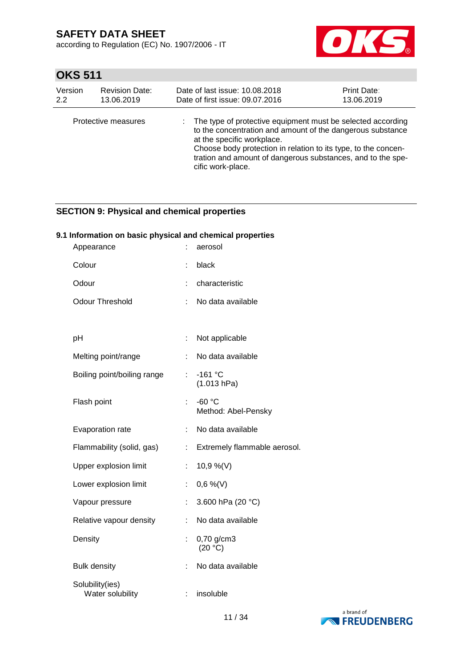according to Regulation (EC) No. 1907/2006 - IT



# **OKS 511**

| Version<br>2.2 | <b>Revision Date:</b><br>13.06.2019 | Date of last issue: 10.08.2018<br>Print Date:<br>Date of first issue: 09.07.2016<br>13.06.2019 |                                                                                                                                                                                                                                                              |  |  |  |
|----------------|-------------------------------------|------------------------------------------------------------------------------------------------|--------------------------------------------------------------------------------------------------------------------------------------------------------------------------------------------------------------------------------------------------------------|--|--|--|
|                | Protective measures                 | at the specific workplace.<br>cific work-place.                                                | : The type of protective equipment must be selected according<br>to the concentration and amount of the dangerous substance<br>Choose body protection in relation to its type, to the concen-<br>tration and amount of dangerous substances, and to the spe- |  |  |  |

### **SECTION 9: Physical and chemical properties**

### **9.1 Information on basic physical and chemical properties**

| Appearance                          |    | aerosol                         |
|-------------------------------------|----|---------------------------------|
| Colour                              | t  | black                           |
| Odour                               | t  | characteristic                  |
| <b>Odour Threshold</b>              | ÷  | No data available               |
|                                     |    |                                 |
| pH                                  | ÷  | Not applicable                  |
| Melting point/range                 | ÷  | No data available               |
| Boiling point/boiling range         | t, | $-161$ °C<br>(1.013 hPa)        |
| Flash point                         | ÷. | $-60 °C$<br>Method: Abel-Pensky |
| Evaporation rate                    | ÷  | No data available               |
| Flammability (solid, gas)           | t, | Extremely flammable aerosol.    |
| Upper explosion limit               | t, | 10,9 %(V)                       |
| Lower explosion limit               | ÷  | $0,6\%$ (V)                     |
| Vapour pressure                     | ÷. | 3.600 hPa (20 °C)               |
| Relative vapour density             | ÷  | No data available               |
| Density                             | ÷  | 0,70 g/cm3<br>(20 °C)           |
| <b>Bulk density</b>                 | ÷. | No data available               |
| Solubility(ies)<br>Water solubility | t  | insoluble                       |

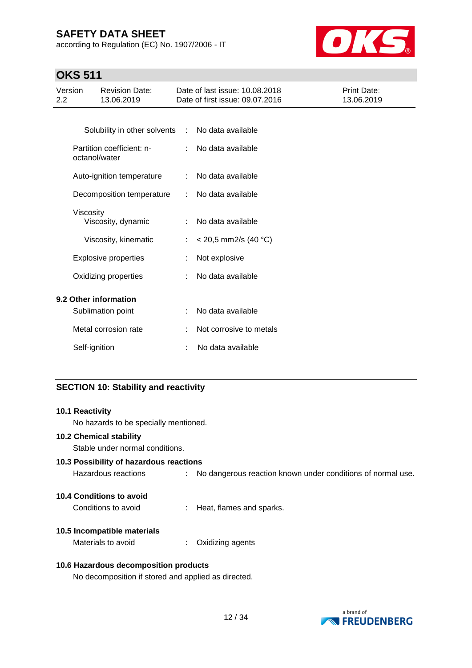according to Regulation (EC) No. 1907/2006 - IT



# **OKS 511**

| Version<br>$2.2\phantom{0}$ |                  | <b>Revision Date:</b><br>13.06.2019        |    | Date of last issue: 10.08.2018<br>Date of first issue: 09.07.2016 | Print Date:<br>13.06.2019 |
|-----------------------------|------------------|--------------------------------------------|----|-------------------------------------------------------------------|---------------------------|
|                             |                  |                                            |    |                                                                   |                           |
|                             |                  | Solubility in other solvents :             |    | No data available                                                 |                           |
|                             |                  | Partition coefficient: n-<br>octanol/water |    | No data available                                                 |                           |
|                             |                  | Auto-ignition temperature                  | ÷  | No data available                                                 |                           |
|                             |                  | Decomposition temperature                  |    | No data available                                                 |                           |
|                             | <b>Viscosity</b> | Viscosity, dynamic                         | ÷. | No data available                                                 |                           |
|                             |                  | Viscosity, kinematic                       | t. | $<$ 20,5 mm2/s (40 °C)                                            |                           |
|                             |                  | <b>Explosive properties</b>                |    | Not explosive                                                     |                           |
|                             |                  | Oxidizing properties                       |    | No data available                                                 |                           |
|                             |                  | 9.2 Other information                      |    |                                                                   |                           |
|                             |                  | Sublimation point                          |    | No data available                                                 |                           |
|                             |                  | Metal corrosion rate                       |    | Not corrosive to metals                                           |                           |
|                             | Self-ignition    |                                            |    | No data available                                                 |                           |

## **SECTION 10: Stability and reactivity**

| 10.1 Reactivity                                     |                                                             |
|-----------------------------------------------------|-------------------------------------------------------------|
| No hazards to be specially mentioned.               |                                                             |
| <b>10.2 Chemical stability</b>                      |                                                             |
| Stable under normal conditions.                     |                                                             |
| 10.3 Possibility of hazardous reactions             |                                                             |
| Hazardous reactions                                 | No dangerous reaction known under conditions of normal use. |
|                                                     |                                                             |
| 10.4 Conditions to avoid                            |                                                             |
| Conditions to avoid                                 | Heat, flames and sparks.                                    |
| 10.5 Incompatible materials                         |                                                             |
| Materials to avoid                                  | Oxidizing agents                                            |
|                                                     |                                                             |
| 10.6 Hazardous decomposition products               |                                                             |
| No decomposition if stored and applied as directed. |                                                             |

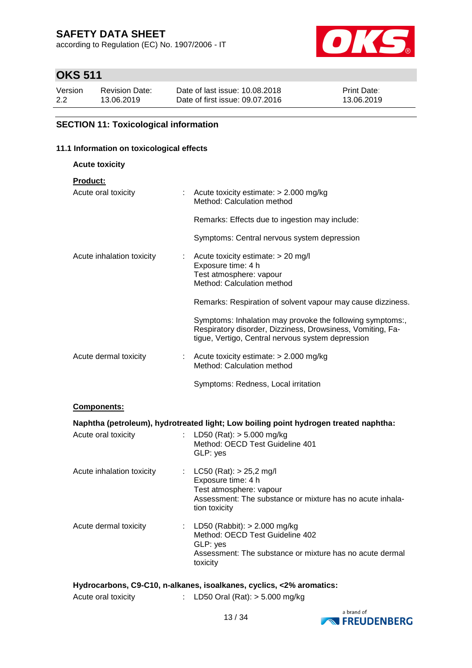according to Regulation (EC) No. 1907/2006 - IT



# **OKS 511**

| Version | <b>Revision Date:</b> | Date of last issue: 10.08.2018  | <b>Print Date:</b> |
|---------|-----------------------|---------------------------------|--------------------|
| 2.2     | 13.06.2019            | Date of first issue: 09.07.2016 | 13.06.2019         |

### **SECTION 11: Toxicological information**

### **11.1 Information on toxicological effects**

| <b>Acute toxicity</b>     |                                                                                                                                                                              |
|---------------------------|------------------------------------------------------------------------------------------------------------------------------------------------------------------------------|
| <b>Product:</b>           |                                                                                                                                                                              |
| Acute oral toxicity       | : Acute toxicity estimate: $> 2.000$ mg/kg<br>Method: Calculation method                                                                                                     |
|                           | Remarks: Effects due to ingestion may include:                                                                                                                               |
|                           | Symptoms: Central nervous system depression                                                                                                                                  |
| Acute inhalation toxicity | $\therefore$ Acute toxicity estimate: $>$ 20 mg/l<br>Exposure time: 4 h<br>Test atmosphere: vapour<br>Method: Calculation method                                             |
|                           | Remarks: Respiration of solvent vapour may cause dizziness.                                                                                                                  |
|                           | Symptoms: Inhalation may provoke the following symptoms:,<br>Respiratory disorder, Dizziness, Drowsiness, Vomiting, Fa-<br>tigue, Vertigo, Central nervous system depression |
| Acute dermal toxicity     | : Acute toxicity estimate: $> 2.000$ mg/kg<br>Method: Calculation method                                                                                                     |
|                           | Symptoms: Redness, Local irritation                                                                                                                                          |

### **Components:**

|                           | Naphtha (petroleum), hydrotreated light; Low boiling point hydrogen treated naphtha:                                                                         |
|---------------------------|--------------------------------------------------------------------------------------------------------------------------------------------------------------|
| Acute oral toxicity       | : LD50 (Rat): $>$ 5.000 mg/kg<br>Method: OECD Test Guideline 401<br>GLP: yes                                                                                 |
| Acute inhalation toxicity | : $LC50$ (Rat): $> 25,2$ mg/l<br>Exposure time: 4 h<br>Test atmosphere: vapour<br>Assessment: The substance or mixture has no acute inhala-<br>tion toxicity |
| Acute dermal toxicity     | : LD50 (Rabbit): $> 2.000$ mg/kg<br>Method: OECD Test Guideline 402<br>GLP: yes<br>Assessment: The substance or mixture has no acute dermal<br>toxicity      |

### **Hydrocarbons, C9-C10, n-alkanes, isoalkanes, cyclics, <2% aromatics:**

| Acute oral toxicity | LD50 Oral (Rat): $> 5.000$ mg/kg |  |
|---------------------|----------------------------------|--|

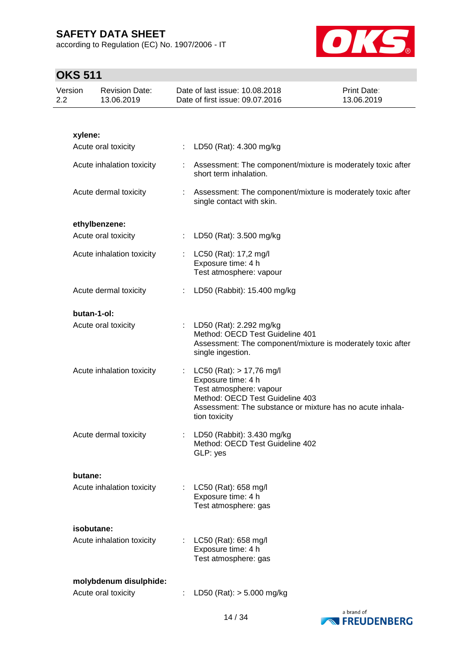according to Regulation (EC) No. 1907/2006 - IT



| Version<br>2.2 |             | <b>Revision Date:</b><br>13.06.2019 |   | Date of last issue: 10.08.2018<br>Date of first issue: 09.07.2016                                                                                                                              | Print Date:<br>13.06.2019 |
|----------------|-------------|-------------------------------------|---|------------------------------------------------------------------------------------------------------------------------------------------------------------------------------------------------|---------------------------|
|                |             |                                     |   |                                                                                                                                                                                                |                           |
|                | xylene:     |                                     |   |                                                                                                                                                                                                |                           |
|                |             | Acute oral toxicity                 |   | : LD50 (Rat): 4.300 mg/kg                                                                                                                                                                      |                           |
|                |             | Acute inhalation toxicity           |   | Assessment: The component/mixture is moderately toxic after<br>short term inhalation.                                                                                                          |                           |
|                |             | Acute dermal toxicity               | ÷ | Assessment: The component/mixture is moderately toxic after<br>single contact with skin.                                                                                                       |                           |
|                |             | ethylbenzene:                       |   |                                                                                                                                                                                                |                           |
|                |             | Acute oral toxicity                 |   | LD50 (Rat): 3.500 mg/kg                                                                                                                                                                        |                           |
|                |             | Acute inhalation toxicity           |   | : $LC50$ (Rat): 17,2 mg/l<br>Exposure time: 4 h<br>Test atmosphere: vapour                                                                                                                     |                           |
|                |             | Acute dermal toxicity               |   | LD50 (Rabbit): 15.400 mg/kg                                                                                                                                                                    |                           |
|                | butan-1-ol: |                                     |   |                                                                                                                                                                                                |                           |
|                |             | Acute oral toxicity                 |   | LD50 (Rat): 2.292 mg/kg<br>Method: OECD Test Guideline 401<br>Assessment: The component/mixture is moderately toxic after<br>single ingestion.                                                 |                           |
|                |             | Acute inhalation toxicity           |   | $LC50$ (Rat): $> 17,76$ mg/l<br>Exposure time: 4 h<br>Test atmosphere: vapour<br>Method: OECD Test Guideline 403<br>Assessment: The substance or mixture has no acute inhala-<br>tion toxicity |                           |
|                |             | Acute dermal toxicity               |   | LD50 (Rabbit): 3.430 mg/kg<br>Method: OECD Test Guideline 402<br>GLP: yes                                                                                                                      |                           |
|                | butane:     |                                     |   |                                                                                                                                                                                                |                           |
|                |             | Acute inhalation toxicity           |   | LC50 (Rat): 658 mg/l<br>Exposure time: 4 h<br>Test atmosphere: gas                                                                                                                             |                           |
|                | isobutane:  |                                     |   |                                                                                                                                                                                                |                           |
|                |             | Acute inhalation toxicity           |   | LC50 (Rat): 658 mg/l<br>Exposure time: 4 h<br>Test atmosphere: gas                                                                                                                             |                           |
|                |             | molybdenum disulphide:              |   |                                                                                                                                                                                                |                           |
|                |             | Acute oral toxicity                 |   | LD50 (Rat): $> 5.000$ mg/kg                                                                                                                                                                    |                           |

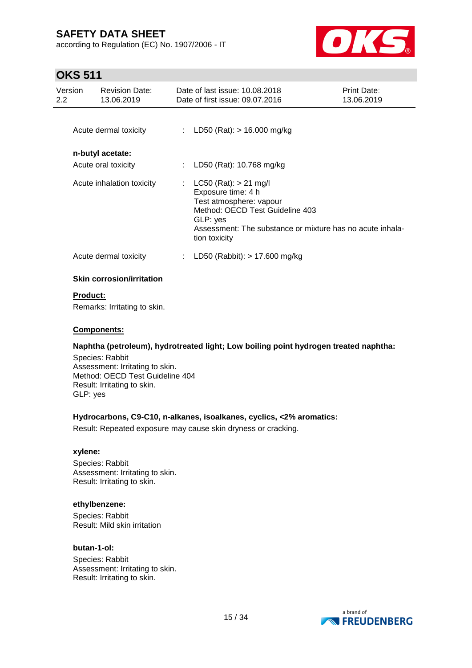according to Regulation (EC) No. 1907/2006 - IT



# **OKS 511**

| Version<br>2.2 | <b>Revision Date:</b><br>13.06.2019     | Date of last issue: 10.08.2018<br>Date of first issue: 09.07.2016                                                                                                                                         | <b>Print Date:</b><br>13.06.2019 |
|----------------|-----------------------------------------|-----------------------------------------------------------------------------------------------------------------------------------------------------------------------------------------------------------|----------------------------------|
|                | Acute dermal toxicity                   | : LD50 (Rat): $> 16.000$ mg/kg                                                                                                                                                                            |                                  |
|                | n-butyl acetate:<br>Acute oral toxicity | LD50 (Rat): 10.768 mg/kg                                                                                                                                                                                  |                                  |
|                | Acute inhalation toxicity               | : $LC50$ (Rat): $> 21$ mg/l<br>Exposure time: 4 h<br>Test atmosphere: vapour<br>Method: OECD Test Guideline 403<br>GLP: yes<br>Assessment: The substance or mixture has no acute inhala-<br>tion toxicity |                                  |
|                | Acute dermal toxicity                   | LD50 (Rabbit): $> 17.600$ mg/kg                                                                                                                                                                           |                                  |
|                | <b>Skin corrosion/irritation</b>        |                                                                                                                                                                                                           |                                  |

## **Product:**

Remarks: Irritating to skin.

### **Components:**

### **Naphtha (petroleum), hydrotreated light; Low boiling point hydrogen treated naphtha:**

Species: Rabbit Assessment: Irritating to skin. Method: OECD Test Guideline 404 Result: Irritating to skin. GLP: yes

### **Hydrocarbons, C9-C10, n-alkanes, isoalkanes, cyclics, <2% aromatics:**

Result: Repeated exposure may cause skin dryness or cracking.

### **xylene:**

Species: Rabbit Assessment: Irritating to skin. Result: Irritating to skin.

### **ethylbenzene:**

Species: Rabbit Result: Mild skin irritation

### **butan-1-ol:**

Species: Rabbit Assessment: Irritating to skin. Result: Irritating to skin.

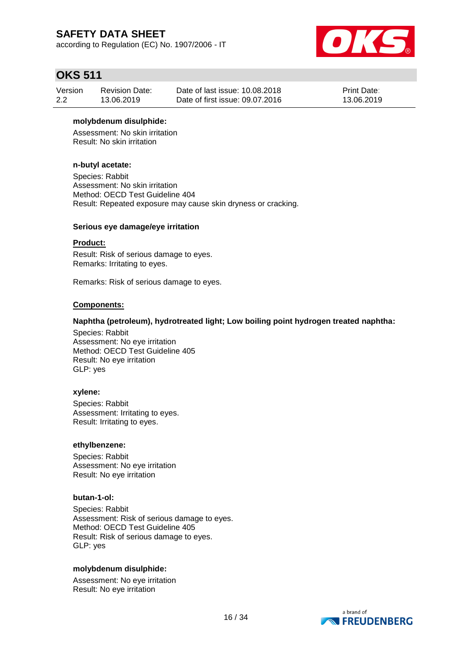according to Regulation (EC) No. 1907/2006 - IT



## **OKS 511**

| Version | <b>Revision Date:</b> | Date of last issue: 10.08.2018  | <b>Print Date:</b> |
|---------|-----------------------|---------------------------------|--------------------|
| 2.2     | 13.06.2019            | Date of first issue: 09.07.2016 | 13.06.2019         |

### **molybdenum disulphide:**

Assessment: No skin irritation Result: No skin irritation

### **n-butyl acetate:**

Species: Rabbit Assessment: No skin irritation Method: OECD Test Guideline 404 Result: Repeated exposure may cause skin dryness or cracking.

### **Serious eye damage/eye irritation**

#### **Product:**

Result: Risk of serious damage to eyes. Remarks: Irritating to eyes.

Remarks: Risk of serious damage to eyes.

### **Components:**

### **Naphtha (petroleum), hydrotreated light; Low boiling point hydrogen treated naphtha:**

Species: Rabbit Assessment: No eye irritation Method: OECD Test Guideline 405 Result: No eye irritation GLP: yes

#### **xylene:**

Species: Rabbit Assessment: Irritating to eyes. Result: Irritating to eyes.

#### **ethylbenzene:**

Species: Rabbit Assessment: No eye irritation Result: No eye irritation

#### **butan-1-ol:**

Species: Rabbit Assessment: Risk of serious damage to eyes. Method: OECD Test Guideline 405 Result: Risk of serious damage to eyes. GLP: yes

#### **molybdenum disulphide:**

Assessment: No eye irritation Result: No eye irritation

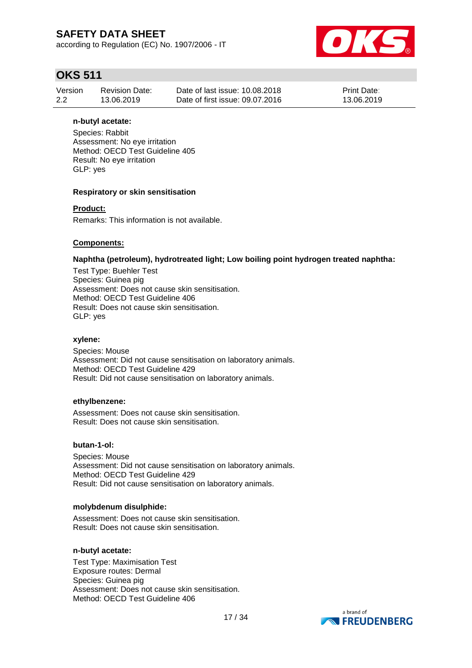according to Regulation (EC) No. 1907/2006 - IT



# **OKS 511**

| Version | Revision Date: | Date of last issue: 10.08.2018  | <b>Print Date:</b> |
|---------|----------------|---------------------------------|--------------------|
| 2.2     | 13.06.2019     | Date of first issue: 09.07.2016 | 13.06.2019         |

### **n-butyl acetate:**

Species: Rabbit Assessment: No eye irritation Method: OECD Test Guideline 405 Result: No eye irritation GLP: yes

### **Respiratory or skin sensitisation**

### **Product:**

Remarks: This information is not available.

### **Components:**

### **Naphtha (petroleum), hydrotreated light; Low boiling point hydrogen treated naphtha:**

Test Type: Buehler Test Species: Guinea pig Assessment: Does not cause skin sensitisation. Method: OECD Test Guideline 406 Result: Does not cause skin sensitisation. GLP: yes

#### **xylene:**

Species: Mouse Assessment: Did not cause sensitisation on laboratory animals. Method: OECD Test Guideline 429 Result: Did not cause sensitisation on laboratory animals.

#### **ethylbenzene:**

Assessment: Does not cause skin sensitisation. Result: Does not cause skin sensitisation.

#### **butan-1-ol:**

Species: Mouse Assessment: Did not cause sensitisation on laboratory animals. Method: OECD Test Guideline 429 Result: Did not cause sensitisation on laboratory animals.

#### **molybdenum disulphide:**

Assessment: Does not cause skin sensitisation. Result: Does not cause skin sensitisation.

#### **n-butyl acetate:**

Test Type: Maximisation Test Exposure routes: Dermal Species: Guinea pig Assessment: Does not cause skin sensitisation. Method: OECD Test Guideline 406

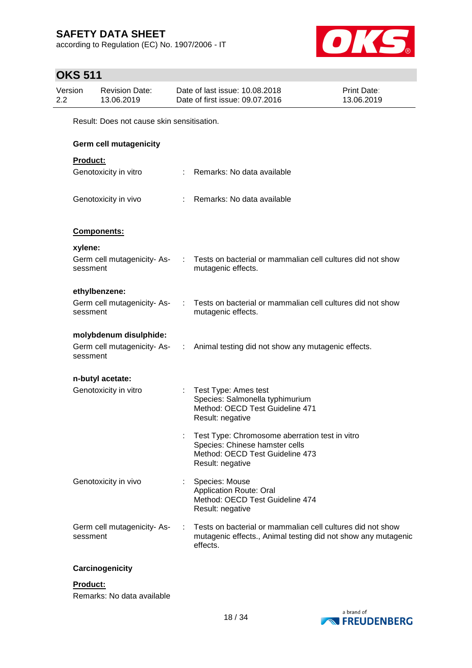according to Regulation (EC) No. 1907/2006 - IT



# **OKS 511**

| 2.2 | Version  | <b>Revision Date:</b><br>13.06.2019        | Date of last issue: 10.08.2018<br>Date of first issue: 09.07.2016                                                                       | <b>Print Date:</b><br>13.06.2019 |
|-----|----------|--------------------------------------------|-----------------------------------------------------------------------------------------------------------------------------------------|----------------------------------|
|     |          | Result: Does not cause skin sensitisation. |                                                                                                                                         |                                  |
|     |          | Germ cell mutagenicity                     |                                                                                                                                         |                                  |
|     | Product: |                                            |                                                                                                                                         |                                  |
|     |          | Genotoxicity in vitro                      | : Remarks: No data available                                                                                                            |                                  |
|     |          | Genotoxicity in vivo                       | : Remarks: No data available                                                                                                            |                                  |
|     |          | Components:                                |                                                                                                                                         |                                  |
|     | xylene:  |                                            |                                                                                                                                         |                                  |
|     | sessment | Germ cell mutagenicity-As-                 | Tests on bacterial or mammalian cell cultures did not show<br>mutagenic effects.                                                        |                                  |
|     |          | ethylbenzene:                              |                                                                                                                                         |                                  |
|     | sessment | Germ cell mutagenicity-As-                 | Tests on bacterial or mammalian cell cultures did not show<br>mutagenic effects.                                                        |                                  |
|     |          | molybdenum disulphide:                     |                                                                                                                                         |                                  |
|     | sessment |                                            | Germ cell mutagenicity-As- : Animal testing did not show any mutagenic effects.                                                         |                                  |
|     |          | n-butyl acetate:                           |                                                                                                                                         |                                  |
|     |          | Genotoxicity in vitro                      | : Test Type: Ames test<br>Species: Salmonella typhimurium<br>Method: OECD Test Guideline 471<br>Result: negative                        |                                  |
|     |          |                                            | Test Type: Chromosome aberration test in vitro<br>Species: Chinese hamster cells<br>Method: OECD Test Guideline 473<br>Result: negative |                                  |
|     |          | Genotoxicity in vivo                       | Species: Mouse<br><b>Application Route: Oral</b><br>Method: OECD Test Guideline 474<br>Result: negative                                 |                                  |
|     | sessment | Germ cell mutagenicity-As-                 | Tests on bacterial or mammalian cell cultures did not show<br>mutagenic effects., Animal testing did not show any mutagenic<br>effects. |                                  |

### **Carcinogenicity**

### **Product:**

Remarks: No data available

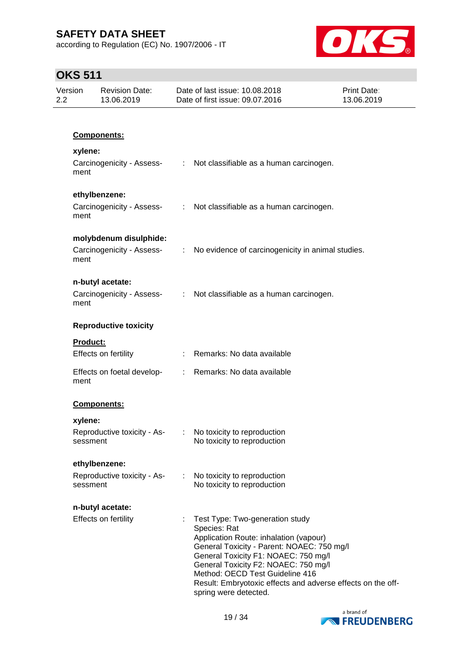according to Regulation (EC) No. 1907/2006 - IT



| Version<br>2.2  | <b>Revision Date:</b><br>13.06.2019                 | Date of last issue: 10.08.2018<br>Date of first issue: 09.07.2016                                                                                                                                                                                                                                                                                  | <b>Print Date:</b><br>13.06.2019 |
|-----------------|-----------------------------------------------------|----------------------------------------------------------------------------------------------------------------------------------------------------------------------------------------------------------------------------------------------------------------------------------------------------------------------------------------------------|----------------------------------|
|                 |                                                     |                                                                                                                                                                                                                                                                                                                                                    |                                  |
|                 | Components:                                         |                                                                                                                                                                                                                                                                                                                                                    |                                  |
| xylene:<br>ment |                                                     | Carcinogenicity - Assess- : Not classifiable as a human carcinogen.                                                                                                                                                                                                                                                                                |                                  |
| ment            | ethylbenzene:<br>Carcinogenicity - Assess-          | : Not classifiable as a human carcinogen.                                                                                                                                                                                                                                                                                                          |                                  |
| ment            | molybdenum disulphide:<br>Carcinogenicity - Assess- | : No evidence of carcinogenicity in animal studies.                                                                                                                                                                                                                                                                                                |                                  |
| ment            | n-butyl acetate:<br>Carcinogenicity - Assess-       | : Not classifiable as a human carcinogen.                                                                                                                                                                                                                                                                                                          |                                  |
|                 | <b>Reproductive toxicity</b>                        |                                                                                                                                                                                                                                                                                                                                                    |                                  |
|                 | <b>Product:</b><br>Effects on fertility             | : Remarks: No data available                                                                                                                                                                                                                                                                                                                       |                                  |
| ment            | Effects on foetal develop-                          | : Remarks: No data available                                                                                                                                                                                                                                                                                                                       |                                  |
|                 | Components:                                         |                                                                                                                                                                                                                                                                                                                                                    |                                  |
| xylene:         | Reproductive toxicity - As-<br>sessment             | : No toxicity to reproduction<br>No toxicity to reproduction                                                                                                                                                                                                                                                                                       |                                  |
|                 | ethylbenzene:                                       |                                                                                                                                                                                                                                                                                                                                                    |                                  |
|                 | Reproductive toxicity - As-<br>sessment             | No toxicity to reproduction<br>No toxicity to reproduction                                                                                                                                                                                                                                                                                         |                                  |
|                 | n-butyl acetate:                                    |                                                                                                                                                                                                                                                                                                                                                    |                                  |
|                 | Effects on fertility                                | Test Type: Two-generation study<br>Species: Rat<br>Application Route: inhalation (vapour)<br>General Toxicity - Parent: NOAEC: 750 mg/l<br>General Toxicity F1: NOAEC: 750 mg/l<br>General Toxicity F2: NOAEC: 750 mg/l<br>Method: OECD Test Guideline 416<br>Result: Embryotoxic effects and adverse effects on the off-<br>spring were detected. |                                  |

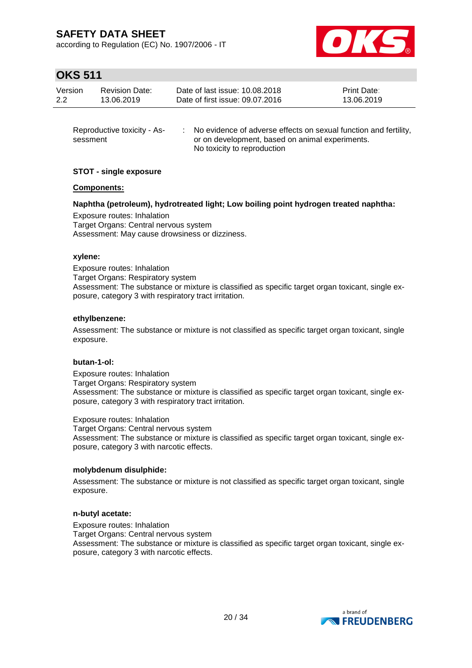according to Regulation (EC) No. 1907/2006 - IT



# **OKS 511**

| Version | <b>Revision Date:</b> | Date of last issue: 10.08.2018  | <b>Print Date:</b> |
|---------|-----------------------|---------------------------------|--------------------|
| 2.2     | 13.06.2019            | Date of first issue: 09.07.2016 | 13.06.2019         |
|         |                       |                                 |                    |

| Reproductive toxicity - As- | No evidence of adverse effects on sexual function and fertility, |
|-----------------------------|------------------------------------------------------------------|
| sessment                    | or on development, based on animal experiments.                  |
|                             | No toxicity to reproduction                                      |

### **STOT - single exposure**

### **Components:**

### **Naphtha (petroleum), hydrotreated light; Low boiling point hydrogen treated naphtha:**

Exposure routes: Inhalation Target Organs: Central nervous system Assessment: May cause drowsiness or dizziness.

### **xylene:**

Exposure routes: Inhalation Target Organs: Respiratory system Assessment: The substance or mixture is classified as specific target organ toxicant, single exposure, category 3 with respiratory tract irritation.

### **ethylbenzene:**

Assessment: The substance or mixture is not classified as specific target organ toxicant, single exposure.

#### **butan-1-ol:**

Exposure routes: Inhalation Target Organs: Respiratory system Assessment: The substance or mixture is classified as specific target organ toxicant, single exposure, category 3 with respiratory tract irritation.

Exposure routes: Inhalation

Target Organs: Central nervous system Assessment: The substance or mixture is classified as specific target organ toxicant, single exposure, category 3 with narcotic effects.

### **molybdenum disulphide:**

Assessment: The substance or mixture is not classified as specific target organ toxicant, single exposure.

### **n-butyl acetate:**

Exposure routes: Inhalation Target Organs: Central nervous system Assessment: The substance or mixture is classified as specific target organ toxicant, single exposure, category 3 with narcotic effects.

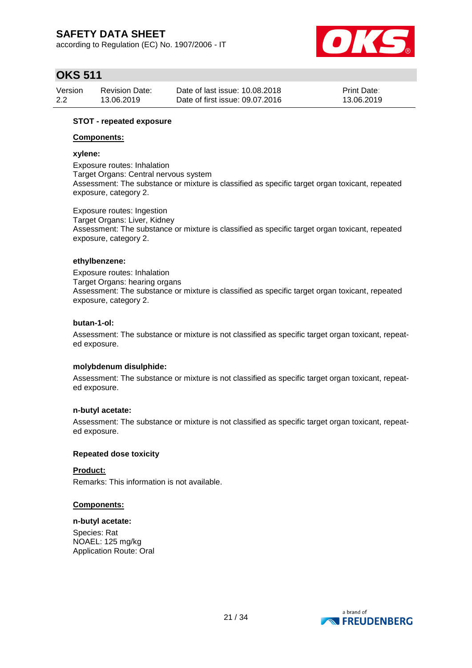according to Regulation (EC) No. 1907/2006 - IT



# **OKS 511**

| Version | <b>Revision Date:</b> | Date of last issue: 10.08.2018  | <b>Print Date:</b> |
|---------|-----------------------|---------------------------------|--------------------|
| 2.2     | 13.06.2019            | Date of first issue: 09.07.2016 | 13.06.2019         |

### **STOT - repeated exposure**

### **Components:**

### **xylene:**

Exposure routes: Inhalation Target Organs: Central nervous system Assessment: The substance or mixture is classified as specific target organ toxicant, repeated exposure, category 2.

Exposure routes: Ingestion Target Organs: Liver, Kidney Assessment: The substance or mixture is classified as specific target organ toxicant, repeated exposure, category 2.

### **ethylbenzene:**

Exposure routes: Inhalation Target Organs: hearing organs Assessment: The substance or mixture is classified as specific target organ toxicant, repeated exposure, category 2.

### **butan-1-ol:**

Assessment: The substance or mixture is not classified as specific target organ toxicant, repeated exposure.

### **molybdenum disulphide:**

Assessment: The substance or mixture is not classified as specific target organ toxicant, repeated exposure.

#### **n-butyl acetate:**

Assessment: The substance or mixture is not classified as specific target organ toxicant, repeated exposure.

### **Repeated dose toxicity**

### **Product:**

Remarks: This information is not available.

### **Components:**

#### **n-butyl acetate:**

Species: Rat NOAEL: 125 mg/kg Application Route: Oral

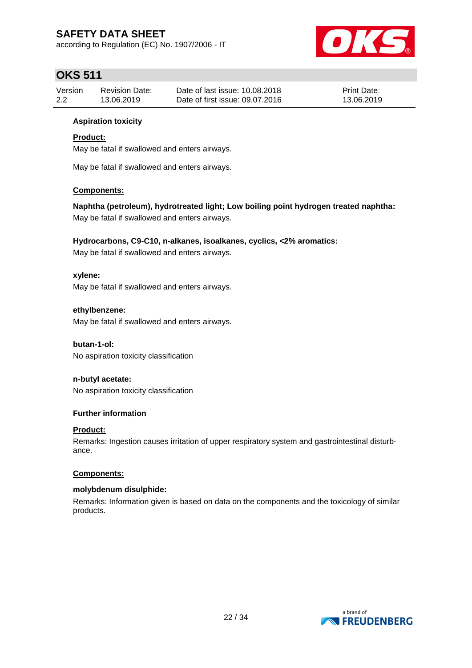according to Regulation (EC) No. 1907/2006 - IT



# **OKS 511**

| Version | <b>Revision Date:</b> | Date of last issue: 10.08.2018  | Print Date: |
|---------|-----------------------|---------------------------------|-------------|
| 2.2     | 13.06.2019            | Date of first issue: 09.07.2016 | 13.06.2019  |

### **Aspiration toxicity**

### **Product:**

May be fatal if swallowed and enters airways.

May be fatal if swallowed and enters airways.

### **Components:**

**Naphtha (petroleum), hydrotreated light; Low boiling point hydrogen treated naphtha:** May be fatal if swallowed and enters airways.

### **Hydrocarbons, C9-C10, n-alkanes, isoalkanes, cyclics, <2% aromatics:**

May be fatal if swallowed and enters airways.

### **xylene:**

May be fatal if swallowed and enters airways.

### **ethylbenzene:**

May be fatal if swallowed and enters airways.

### **butan-1-ol:**

No aspiration toxicity classification

### **n-butyl acetate:**

No aspiration toxicity classification

### **Further information**

### **Product:**

Remarks: Ingestion causes irritation of upper respiratory system and gastrointestinal disturbance.

### **Components:**

### **molybdenum disulphide:**

Remarks: Information given is based on data on the components and the toxicology of similar products.

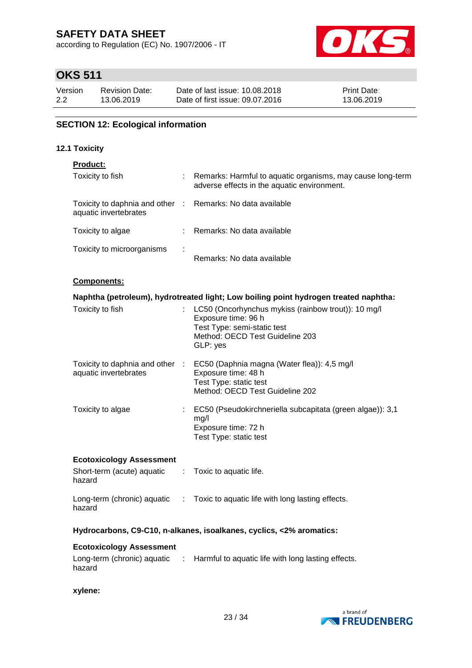according to Regulation (EC) No. 1907/2006 - IT



# **OKS 511**

| Version | <b>Revision Date:</b> | Date of last issue: 10.08.2018  | <b>Print Date:</b> |
|---------|-----------------------|---------------------------------|--------------------|
| 2.2     | 13.06.2019            | Date of first issue: 09.07.2016 | 13.06.2019         |

### **SECTION 12: Ecological information**

### **12.1 Toxicity**

### **Product:**

| Toxicity to fish                                         | ÷ | Remarks: Harmful to aquatic organisms, may cause long-term<br>adverse effects in the aquatic environment. |
|----------------------------------------------------------|---|-----------------------------------------------------------------------------------------------------------|
| Toxicity to daphnia and other :<br>aquatic invertebrates |   | Remarks: No data available                                                                                |
| Toxicity to algae                                        |   | Remarks: No data available                                                                                |
| Toxicity to microorganisms                               | ÷ | Remarks: No data available                                                                                |

#### **Components:**

| Naphtha (petroleum), hydrotreated light; Low boiling point hydrogen treated naphtha:             |                                                                                                                                                            |  |  |  |
|--------------------------------------------------------------------------------------------------|------------------------------------------------------------------------------------------------------------------------------------------------------------|--|--|--|
| Toxicity to fish                                                                                 | : LC50 (Oncorhynchus mykiss (rainbow trout)): 10 mg/l<br>Exposure time: 96 h<br>Test Type: semi-static test<br>Method: OECD Test Guideline 203<br>GLP: yes |  |  |  |
| Toxicity to daphnia and other :<br>aquatic invertebrates                                         | EC50 (Daphnia magna (Water flea)): 4,5 mg/l<br>Exposure time: 48 h<br>Test Type: static test<br>Method: OECD Test Guideline 202                            |  |  |  |
| Toxicity to algae                                                                                | EC50 (Pseudokirchneriella subcapitata (green algae)): 3,1<br>mq/l<br>Exposure time: 72 h<br>Test Type: static test                                         |  |  |  |
| <b>Ecotoxicology Assessment</b><br>Short-term (acute) aquatic : Toxic to aquatic life.<br>hazard |                                                                                                                                                            |  |  |  |

# hazard

Long-term (chronic) aquatic : Toxic to aquatic life with long lasting effects.

### **Hydrocarbons, C9-C10, n-alkanes, isoalkanes, cyclics, <2% aromatics:**

### **Ecotoxicology Assessment**

| Long-term (chronic) aquatic | : Harmful to aquatic life with long lasting effects. |
|-----------------------------|------------------------------------------------------|
| hazard                      |                                                      |

**xylene:**

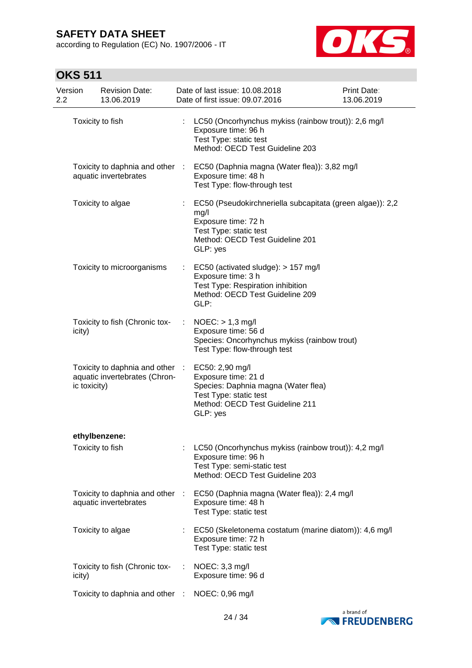according to Regulation (EC) No. 1907/2006 - IT



| Version<br>2.2 |                  | <b>Revision Date:</b><br>13.06.2019                            |      | Date of last issue: 10.08.2018<br>Date of first issue: 09.07.2016                                                                                                 | Print Date:<br>13.06.2019 |
|----------------|------------------|----------------------------------------------------------------|------|-------------------------------------------------------------------------------------------------------------------------------------------------------------------|---------------------------|
|                | Toxicity to fish |                                                                | ÷.   | LC50 (Oncorhynchus mykiss (rainbow trout)): 2,6 mg/l<br>Exposure time: 96 h<br>Test Type: static test<br>Method: OECD Test Guideline 203                          |                           |
|                |                  | Toxicity to daphnia and other :<br>aquatic invertebrates       |      | EC50 (Daphnia magna (Water flea)): 3,82 mg/l<br>Exposure time: 48 h<br>Test Type: flow-through test                                                               |                           |
|                |                  | Toxicity to algae                                              |      | EC50 (Pseudokirchneriella subcapitata (green algae)): 2,2<br>mg/l<br>Exposure time: 72 h<br>Test Type: static test<br>Method: OECD Test Guideline 201<br>GLP: yes |                           |
|                |                  | Toxicity to microorganisms                                     | t.   | EC50 (activated sludge): > 157 mg/l<br>Exposure time: 3 h<br>Test Type: Respiration inhibition<br>Method: OECD Test Guideline 209<br>GLP:                         |                           |
|                | icity)           | Toxicity to fish (Chronic tox-                                 |      | $NOEC:$ > 1,3 mg/l<br>Exposure time: 56 d<br>Species: Oncorhynchus mykiss (rainbow trout)<br>Test Type: flow-through test                                         |                           |
|                | ic toxicity)     | Toxicity to daphnia and other<br>aquatic invertebrates (Chron- | - 11 | EC50: 2,90 mg/l<br>Exposure time: 21 d<br>Species: Daphnia magna (Water flea)<br>Test Type: static test<br>Method: OECD Test Guideline 211<br>GLP: yes            |                           |
|                |                  | ethylbenzene:                                                  |      |                                                                                                                                                                   |                           |
|                | Toxicity to fish |                                                                |      | LC50 (Oncorhynchus mykiss (rainbow trout)): 4,2 mg/l<br>Exposure time: 96 h<br>Test Type: semi-static test<br>Method: OECD Test Guideline 203                     |                           |
|                |                  | Toxicity to daphnia and other<br>aquatic invertebrates         |      | EC50 (Daphnia magna (Water flea)): 2,4 mg/l<br>Exposure time: 48 h<br>Test Type: static test                                                                      |                           |
|                |                  | Toxicity to algae                                              |      | EC50 (Skeletonema costatum (marine diatom)): 4,6 mg/l<br>Exposure time: 72 h<br>Test Type: static test                                                            |                           |
|                | icity)           | Toxicity to fish (Chronic tox-                                 |      | NOEC: 3,3 mg/l<br>Exposure time: 96 d                                                                                                                             |                           |
|                |                  | Toxicity to daphnia and other                                  | - 11 | NOEC: 0,96 mg/l                                                                                                                                                   |                           |

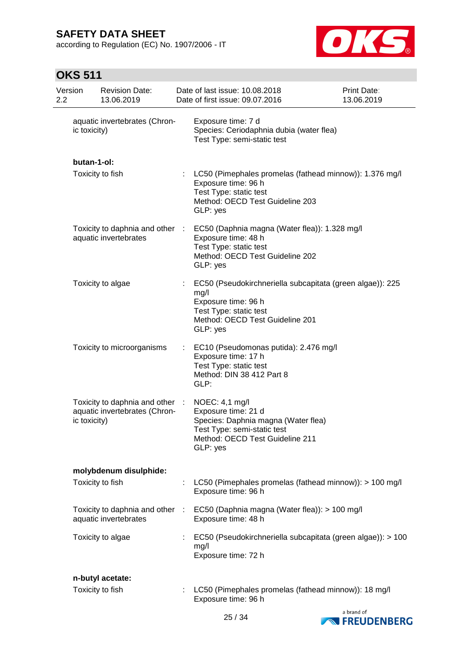according to Regulation (EC) No. 1907/2006 - IT



| 2.2 | Version      | <b>Revision Date:</b><br>13.06.2019                            |           | Date of last issue: 10.08.2018<br>Date of first issue: 09.07.2016                                                                                                 | Print Date:<br>13.06.2019 |
|-----|--------------|----------------------------------------------------------------|-----------|-------------------------------------------------------------------------------------------------------------------------------------------------------------------|---------------------------|
|     | ic toxicity) | aquatic invertebrates (Chron-                                  |           | Exposure time: 7 d<br>Species: Ceriodaphnia dubia (water flea)<br>Test Type: semi-static test                                                                     |                           |
|     | butan-1-ol:  |                                                                |           |                                                                                                                                                                   |                           |
|     |              | Toxicity to fish                                               |           | LC50 (Pimephales promelas (fathead minnow)): 1.376 mg/l<br>Exposure time: 96 h<br>Test Type: static test<br>Method: OECD Test Guideline 203<br>GLP: yes           |                           |
|     |              | Toxicity to daphnia and other<br>aquatic invertebrates         | $\sim 10$ | EC50 (Daphnia magna (Water flea)): 1.328 mg/l<br>Exposure time: 48 h<br>Test Type: static test<br>Method: OECD Test Guideline 202<br>GLP: yes                     |                           |
|     |              | Toxicity to algae                                              |           | EC50 (Pseudokirchneriella subcapitata (green algae)): 225<br>mg/l<br>Exposure time: 96 h<br>Test Type: static test<br>Method: OECD Test Guideline 201<br>GLP: yes |                           |
|     |              | Toxicity to microorganisms                                     | ÷         | EC10 (Pseudomonas putida): 2.476 mg/l<br>Exposure time: 17 h<br>Test Type: static test<br>Method: DIN 38 412 Part 8<br>GLP:                                       |                           |
|     | ic toxicity) | Toxicity to daphnia and other<br>aquatic invertebrates (Chron- | ÷         | NOEC: 4,1 mg/l<br>Exposure time: 21 d<br>Species: Daphnia magna (Water flea)<br>Test Type: semi-static test<br>Method: OECD Test Guideline 211<br>GLP: yes        |                           |
|     |              | molybdenum disulphide:                                         |           |                                                                                                                                                                   |                           |
|     |              | Toxicity to fish                                               |           | LC50 (Pimephales promelas (fathead minnow)): > 100 mg/l<br>Exposure time: 96 h                                                                                    |                           |
|     |              | Toxicity to daphnia and other<br>aquatic invertebrates         | $\sim$    | EC50 (Daphnia magna (Water flea)): > 100 mg/l<br>Exposure time: 48 h                                                                                              |                           |
|     |              | Toxicity to algae                                              |           | EC50 (Pseudokirchneriella subcapitata (green algae)): > 100<br>mg/l<br>Exposure time: 72 h                                                                        |                           |
|     |              | n-butyl acetate:                                               |           |                                                                                                                                                                   |                           |
|     |              | Toxicity to fish                                               | ÷         | LC50 (Pimephales promelas (fathead minnow)): 18 mg/l<br>Exposure time: 96 h                                                                                       |                           |

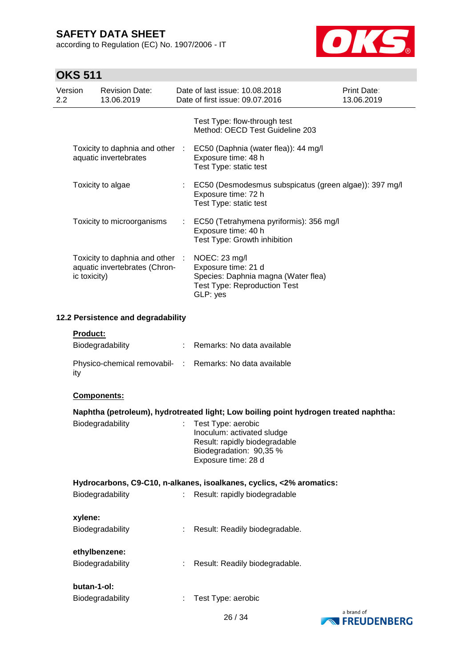according to Regulation (EC) No. 1907/2006 - IT



| Version<br>2.2 |              | <b>Revision Date:</b><br>13.06.2019                                                  |  | Date of last issue: 10.08.2018<br>Date of first issue: 09.07.2016                                                                   | <b>Print Date:</b><br>13.06.2019 |  |  |  |
|----------------|--------------|--------------------------------------------------------------------------------------|--|-------------------------------------------------------------------------------------------------------------------------------------|----------------------------------|--|--|--|
|                |              |                                                                                      |  | Test Type: flow-through test<br>Method: OECD Test Guideline 203                                                                     |                                  |  |  |  |
|                |              | aquatic invertebrates                                                                |  | Toxicity to daphnia and other : EC50 (Daphnia (water flea)): 44 mg/l<br>Exposure time: 48 h<br>Test Type: static test               |                                  |  |  |  |
|                |              | Toxicity to algae                                                                    |  | : EC50 (Desmodesmus subspicatus (green algae)): 397 mg/l<br>Exposure time: 72 h<br>Test Type: static test                           |                                  |  |  |  |
|                |              | Toxicity to microorganisms                                                           |  | : EC50 (Tetrahymena pyriformis): 356 mg/l<br>Exposure time: 40 h<br>Test Type: Growth inhibition                                    |                                  |  |  |  |
|                | ic toxicity) | Toxicity to daphnia and other :<br>aquatic invertebrates (Chron-                     |  | NOEC: 23 mg/l<br>Exposure time: 21 d<br>Species: Daphnia magna (Water flea)<br><b>Test Type: Reproduction Test</b><br>GLP: yes      |                                  |  |  |  |
|                |              | 12.2 Persistence and degradability                                                   |  |                                                                                                                                     |                                  |  |  |  |
|                | Product:     | Biodegradability                                                                     |  | : Remarks: No data available                                                                                                        |                                  |  |  |  |
|                | ity          |                                                                                      |  | Physico-chemical removabil- : Remarks: No data available                                                                            |                                  |  |  |  |
|                | Components:  |                                                                                      |  |                                                                                                                                     |                                  |  |  |  |
|                |              | Naphtha (petroleum), hydrotreated light; Low boiling point hydrogen treated naphtha: |  |                                                                                                                                     |                                  |  |  |  |
|                |              | Biodegradability                                                                     |  | Test Type: aerobic<br>Inoculum: activated sludge<br>Result: rapidly biodegradable<br>Biodegradation: 90,35 %<br>Exposure time: 28 d |                                  |  |  |  |
|                |              |                                                                                      |  | Hydrocarbons, C9-C10, n-alkanes, isoalkanes, cyclics, <2% aromatics:                                                                |                                  |  |  |  |
|                |              | Biodegradability                                                                     |  | Result: rapidly biodegradable                                                                                                       |                                  |  |  |  |
|                | xylene:      |                                                                                      |  |                                                                                                                                     |                                  |  |  |  |
|                |              | Biodegradability                                                                     |  | Result: Readily biodegradable.                                                                                                      |                                  |  |  |  |
|                |              | ethylbenzene:<br>Biodegradability                                                    |  | Result: Readily biodegradable.                                                                                                      |                                  |  |  |  |
|                | butan-1-ol:  |                                                                                      |  |                                                                                                                                     |                                  |  |  |  |
|                |              | Biodegradability                                                                     |  | Test Type: aerobic                                                                                                                  |                                  |  |  |  |



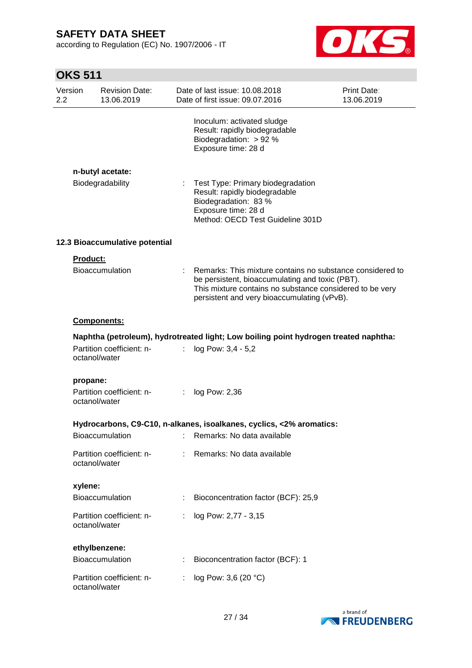according to Regulation (EC) No. 1907/2006 - IT



| Version<br>$2.2\phantom{0}$ | <b>Revision Date:</b><br>13.06.2019        |    | Date of last issue: 10.08.2018<br>Date of first issue: 09.07.2016                                                                                                                                                       | <b>Print Date:</b><br>13.06.2019 |
|-----------------------------|--------------------------------------------|----|-------------------------------------------------------------------------------------------------------------------------------------------------------------------------------------------------------------------------|----------------------------------|
|                             |                                            |    | Inoculum: activated sludge<br>Result: rapidly biodegradable<br>Biodegradation: $> 92 %$<br>Exposure time: 28 d                                                                                                          |                                  |
|                             | n-butyl acetate:                           |    |                                                                                                                                                                                                                         |                                  |
|                             | Biodegradability                           | ÷. | Test Type: Primary biodegradation<br>Result: rapidly biodegradable<br>Biodegradation: 83 %<br>Exposure time: 28 d<br>Method: OECD Test Guideline 301D                                                                   |                                  |
|                             | 12.3 Bioaccumulative potential             |    |                                                                                                                                                                                                                         |                                  |
|                             | Product:                                   |    |                                                                                                                                                                                                                         |                                  |
|                             | <b>Bioaccumulation</b>                     |    | Remarks: This mixture contains no substance considered to<br>be persistent, bioaccumulating and toxic (PBT).<br>This mixture contains no substance considered to be very<br>persistent and very bioaccumulating (vPvB). |                                  |
|                             | <b>Components:</b>                         |    |                                                                                                                                                                                                                         |                                  |
|                             |                                            |    | Naphtha (petroleum), hydrotreated light; Low boiling point hydrogen treated naphtha:                                                                                                                                    |                                  |
|                             | Partition coefficient: n-<br>octanol/water | ÷  | log Pow: 3,4 - 5,2                                                                                                                                                                                                      |                                  |
|                             | propane:                                   |    |                                                                                                                                                                                                                         |                                  |
|                             | Partition coefficient: n-<br>octanol/water |    | : $log Pow: 2,36$                                                                                                                                                                                                       |                                  |
|                             |                                            |    | Hydrocarbons, C9-C10, n-alkanes, isoalkanes, cyclics, <2% aromatics:                                                                                                                                                    |                                  |
|                             |                                            |    | Bioaccumulation : Remarks: No data available                                                                                                                                                                            |                                  |
|                             | Partition coefficient: n-<br>octanol/water |    | Remarks: No data available                                                                                                                                                                                              |                                  |
| xylene:                     |                                            |    |                                                                                                                                                                                                                         |                                  |
|                             | Bioaccumulation                            |    | Bioconcentration factor (BCF): 25,9                                                                                                                                                                                     |                                  |
|                             | Partition coefficient: n-<br>octanol/water |    | log Pow: 2,77 - 3,15                                                                                                                                                                                                    |                                  |
|                             | ethylbenzene:                              |    |                                                                                                                                                                                                                         |                                  |
|                             | Bioaccumulation                            |    | Bioconcentration factor (BCF): 1                                                                                                                                                                                        |                                  |
|                             | Partition coefficient: n-<br>octanol/water |    | log Pow: 3,6 (20 °C)                                                                                                                                                                                                    |                                  |

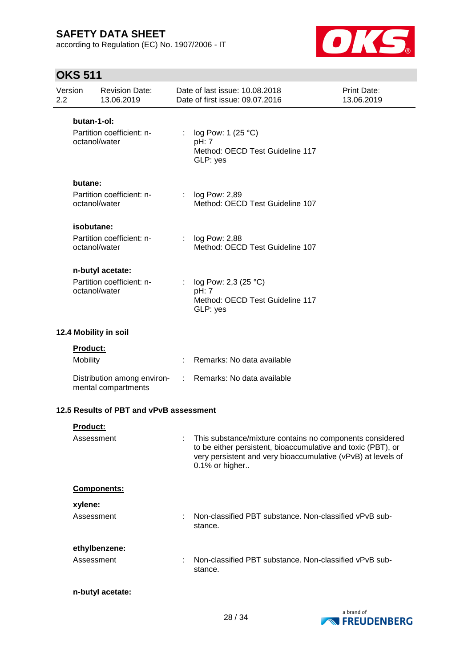according to Regulation (EC) No. 1907/2006 - IT



| Version<br>2.2        |                             | <b>Revision Date:</b><br>13.06.2019                            |                | Date of last issue: 10.08.2018<br>Date of first issue: 09.07.2016                                                                                                                                            | Print Date:<br>13.06.2019 |
|-----------------------|-----------------------------|----------------------------------------------------------------|----------------|--------------------------------------------------------------------------------------------------------------------------------------------------------------------------------------------------------------|---------------------------|
|                       | butan-1-ol:                 | Partition coefficient: n-<br>octanol/water                     | $\mathbb{R}^n$ | log Pow: 1 (25 °C)<br>pH: 7<br>Method: OECD Test Guideline 117<br>GLP: yes                                                                                                                                   |                           |
|                       | butane:                     | Partition coefficient: n-<br>octanol/water                     | t.             | log Pow: 2,89<br>Method: OECD Test Guideline 107                                                                                                                                                             |                           |
|                       | isobutane:                  | Partition coefficient: n-<br>octanol/water                     | ÷              | log Pow: 2,88<br>Method: OECD Test Guideline 107                                                                                                                                                             |                           |
|                       |                             | n-butyl acetate:<br>Partition coefficient: n-<br>octanol/water |                | log Pow: 2,3 (25 °C)<br>pH: 7<br>Method: OECD Test Guideline 117<br>GLP: yes                                                                                                                                 |                           |
| 12.4 Mobility in soil |                             |                                                                |                |                                                                                                                                                                                                              |                           |
|                       | <b>Product:</b><br>Mobility |                                                                |                | Remarks: No data available                                                                                                                                                                                   |                           |
|                       |                             | Distribution among environ-<br>mental compartments             | $\sim 100$     | Remarks: No data available                                                                                                                                                                                   |                           |
|                       |                             | 12.5 Results of PBT and vPvB assessment                        |                |                                                                                                                                                                                                              |                           |
|                       | Product:<br>Assessment      |                                                                |                | : This substance/mixture contains no components considered<br>to be either persistent, bioaccumulative and toxic (PBT), or<br>very persistent and very bioaccumulative (vPvB) at levels of<br>0.1% or higher |                           |
|                       |                             | Components:                                                    |                |                                                                                                                                                                                                              |                           |
|                       | xylene:<br>Assessment       |                                                                |                | Non-classified PBT substance. Non-classified vPvB sub-<br>stance.                                                                                                                                            |                           |
|                       | Assessment                  | ethylbenzene:                                                  |                | Non-classified PBT substance. Non-classified vPvB sub-<br>stance.                                                                                                                                            |                           |
|                       |                             | n-butyl acetate:                                               |                |                                                                                                                                                                                                              |                           |

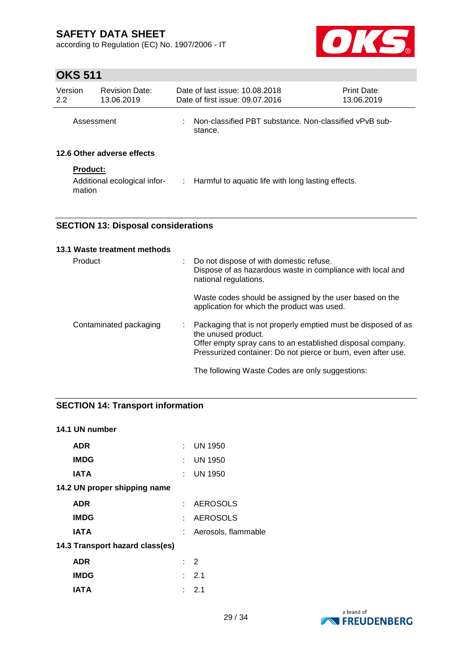according to Regulation (EC) No. 1907/2006 - IT



# **OKS 511**

| Version<br>2.2 | <b>Revision Date:</b><br>13.06.2019 | Date of last issue: 10.08.2018<br>Date of first issue: 09.07.2016 | <b>Print Date:</b><br>13.06.2019                                  |  |  |  |
|----------------|-------------------------------------|-------------------------------------------------------------------|-------------------------------------------------------------------|--|--|--|
| Assessment     |                                     | ÷.                                                                | Non-classified PBT substance. Non-classified vPvB sub-<br>stance. |  |  |  |
|                | 12.6 Other adverse effects          |                                                                   |                                                                   |  |  |  |
|                | <b>Product:</b>                     |                                                                   |                                                                   |  |  |  |
| mation         | Additional ecological infor-        |                                                                   | : Harmful to aquatic life with long lasting effects.              |  |  |  |

### **SECTION 13: Disposal considerations**

| 13.1 Waste treatment methods |                                                                                                                                                                                                                     |
|------------------------------|---------------------------------------------------------------------------------------------------------------------------------------------------------------------------------------------------------------------|
| Product                      | Do not dispose of with domestic refuse.<br>Dispose of as hazardous waste in compliance with local and<br>national regulations.                                                                                      |
|                              | Waste codes should be assigned by the user based on the<br>application for which the product was used.                                                                                                              |
| Contaminated packaging       | Packaging that is not properly emptied must be disposed of as<br>the unused product.<br>Offer empty spray cans to an established disposal company.<br>Pressurized container: Do not pierce or burn, even after use. |
|                              | The following Waste Codes are only suggestions:                                                                                                                                                                     |

### **SECTION 14: Transport information**

### **14.1 UN number**

| ADR                             |    | $:$ UN 1950          |
|---------------------------------|----|----------------------|
| <b>IMDG</b>                     |    | $\therefore$ UN 1950 |
| <b>IATA</b>                     | t. | <b>UN 1950</b>       |
| 14.2 UN proper shipping name    |    |                      |
| <b>ADR</b>                      |    | : AEROSOLS           |
| <b>IMDG</b>                     |    | : AEROSOLS           |
| <b>IATA</b>                     | t. | Aerosols, flammable  |
| 14.3 Transport hazard class(es) |    |                      |
| <b>ADR</b>                      |    | $\therefore$ 2       |
| <b>IMDG</b>                     |    | : 2.1                |
| IATA                            |    | : 2.1                |

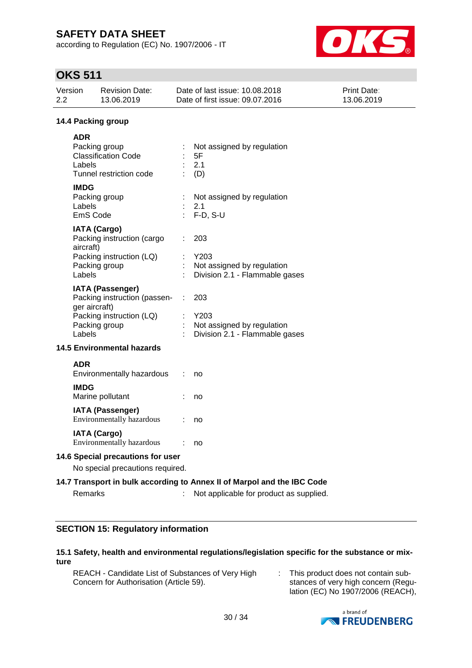according to Regulation (EC) No. 1907/2006 - IT



# **OKS 511**

| 2.2 | Version                                                               | <b>Revision Date:</b><br>13.06.2019                                                                  |                             | Date of last issue: 10.08.2018<br>Date of first issue: 09.07.2016                                                  | Print Date:<br>13.06.2019 |  |  |  |  |
|-----|-----------------------------------------------------------------------|------------------------------------------------------------------------------------------------------|-----------------------------|--------------------------------------------------------------------------------------------------------------------|---------------------------|--|--|--|--|
|     | 14.4 Packing group                                                    |                                                                                                      |                             |                                                                                                                    |                           |  |  |  |  |
|     | <b>ADR</b><br>Labels                                                  | Packing group<br><b>Classification Code</b><br>Tunnel restriction code                               |                             | Not assigned by regulation<br>5F<br>2.1<br>(D)                                                                     |                           |  |  |  |  |
|     | <b>IMDG</b><br>Labels<br>EmS Code                                     | Packing group                                                                                        |                             | Not assigned by regulation<br>2.1<br>$F-D, S-U$                                                                    |                           |  |  |  |  |
|     | aircraft)<br>Labels                                                   | <b>IATA (Cargo)</b><br>Packing instruction (cargo<br>Packing instruction (LQ)<br>Packing group       |                             | 203<br>Y203<br>Not assigned by regulation<br>Division 2.1 - Flammable gases                                        |                           |  |  |  |  |
|     | ger aircraft)<br>Labels                                               | <b>IATA (Passenger)</b><br>Packing instruction (passen-<br>Packing instruction (LQ)<br>Packing group | $\mathcal{L}^{\mathcal{L}}$ | 203<br>Y203<br>Not assigned by regulation<br>Division 2.1 - Flammable gases                                        |                           |  |  |  |  |
|     |                                                                       | <b>14.5 Environmental hazards</b>                                                                    |                             |                                                                                                                    |                           |  |  |  |  |
|     | <b>ADR</b>                                                            | Environmentally hazardous                                                                            |                             | no                                                                                                                 |                           |  |  |  |  |
|     | <b>IMDG</b>                                                           | Marine pollutant                                                                                     |                             | no                                                                                                                 |                           |  |  |  |  |
|     |                                                                       | <b>IATA (Passenger)</b><br>Environmentally hazardous                                                 |                             | no                                                                                                                 |                           |  |  |  |  |
|     |                                                                       | <b>IATA (Cargo)</b><br>Environmentally hazardous                                                     |                             | no                                                                                                                 |                           |  |  |  |  |
|     | 14.6 Special precautions for user<br>No special precautions required. |                                                                                                      |                             |                                                                                                                    |                           |  |  |  |  |
|     | Remarks                                                               |                                                                                                      |                             | 14.7 Transport in bulk according to Annex II of Marpol and the IBC Code<br>Not applicable for product as supplied. |                           |  |  |  |  |

### **SECTION 15: Regulatory information**

### **15.1 Safety, health and environmental regulations/legislation specific for the substance or mixture**

REACH - Candidate List of Substances of Very High Concern for Authorisation (Article 59).

: This product does not contain substances of very high concern (Regulation (EC) No 1907/2006 (REACH),

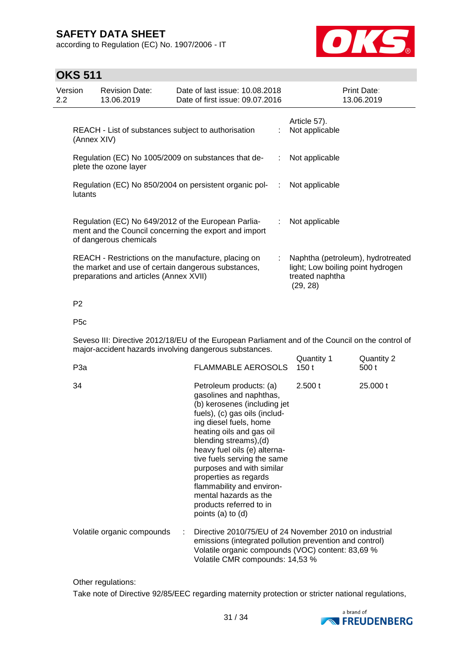according to Regulation (EC) No. 1907/2006 - IT



## **OKS 511**

| Version<br>$2.2^{\circ}$ |             | <b>Revision Date:</b><br>13.06.2019    | Date of last issue: 10.08.2018<br>Date of first issue: 09.07.2016                                            |    | Print Date:<br>13.06.2019                                                                             |
|--------------------------|-------------|----------------------------------------|--------------------------------------------------------------------------------------------------------------|----|-------------------------------------------------------------------------------------------------------|
|                          | (Annex XIV) |                                        | REACH - List of substances subject to authorisation                                                          |    | Article 57).<br>Not applicable                                                                        |
|                          |             | plete the ozone layer                  | Regulation (EC) No 1005/2009 on substances that de-                                                          |    | Not applicable                                                                                        |
|                          | lutants     |                                        | Regulation (EC) No 850/2004 on persistent organic pol-                                                       |    | Not applicable                                                                                        |
|                          |             | of dangerous chemicals                 | Regulation (EC) No 649/2012 of the European Parlia-<br>ment and the Council concerning the export and import |    | Not applicable                                                                                        |
|                          |             | preparations and articles (Annex XVII) | REACH - Restrictions on the manufacture, placing on<br>the market and use of certain dangerous substances,   | ÷. | Naphtha (petroleum), hydrotreated<br>light; Low boiling point hydrogen<br>treated naphtha<br>(29, 28) |

### P2

### P5c

Seveso III: Directive 2012/18/EU of the European Parliament and of the Council on the control of major-accident hazards involving dangerous substances.  $Quantity 1$  Quantity 2

| P3a                        | <b>FLAMMABLE AEROSOLS</b>                                                                                                                                                                                                                                                                                                                                                                                                      | Quanniy i<br>150 t | Quanniy 2<br>500 t |
|----------------------------|--------------------------------------------------------------------------------------------------------------------------------------------------------------------------------------------------------------------------------------------------------------------------------------------------------------------------------------------------------------------------------------------------------------------------------|--------------------|--------------------|
| 34                         | Petroleum products: (a)<br>gasolines and naphthas,<br>(b) kerosenes (including jet<br>fuels), (c) gas oils (includ-<br>ing diesel fuels, home<br>heating oils and gas oil<br>blending streams), (d)<br>heavy fuel oils (e) alterna-<br>tive fuels serving the same<br>purposes and with similar<br>properties as regards<br>flammability and environ-<br>mental hazards as the<br>products referred to in<br>points (a) to (d) | 2.500 t            | 25.000 t           |
| Volatile organic compounds | Directive 2010/75/EU of 24 November 2010 on industrial<br>emissions (integrated pollution prevention and control)<br>Volatile organic compounds (VOC) content: 83,69 %<br>Volatile CMR compounds: 14,53 %                                                                                                                                                                                                                      |                    |                    |

Other regulations:

Take note of Directive 92/85/EEC regarding maternity protection or stricter national regulations,

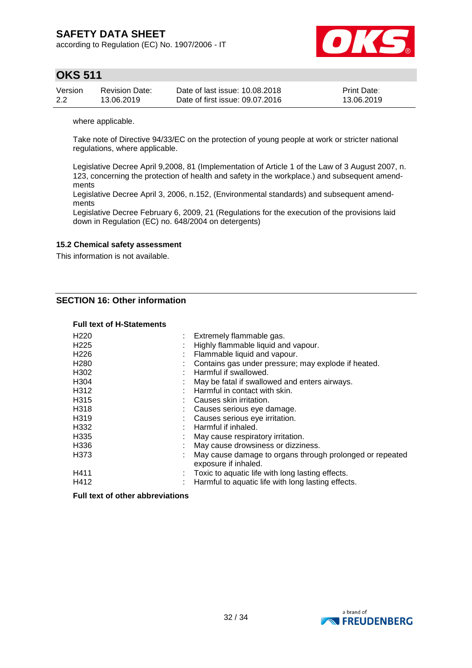according to Regulation (EC) No. 1907/2006 - IT



## **OKS 511**

| Version | <b>Revision Date:</b> | Date of last issue: 10.08.2018  | <b>Print Date:</b> |
|---------|-----------------------|---------------------------------|--------------------|
| 2.2     | 13.06.2019            | Date of first issue: 09.07.2016 | 13.06.2019         |

where applicable.

Take note of Directive 94/33/EC on the protection of young people at work or stricter national regulations, where applicable.

Legislative Decree April 9,2008, 81 (Implementation of Article 1 of the Law of 3 August 2007, n. 123, concerning the protection of health and safety in the workplace.) and subsequent amendments

Legislative Decree April 3, 2006, n.152, (Environmental standards) and subsequent amendments

Legislative Decree February 6, 2009, 21 (Regulations for the execution of the provisions laid down in Regulation (EC) no. 648/2004 on detergents)

### **15.2 Chemical safety assessment**

This information is not available.

### **SECTION 16: Other information**

### **Full text of H-Statements**

| H <sub>220</sub> | Extremely flammable gas.                                 |
|------------------|----------------------------------------------------------|
| H <sub>225</sub> | Highly flammable liquid and vapour.                      |
| H <sub>226</sub> | Flammable liquid and vapour.                             |
| H <sub>280</sub> | Contains gas under pressure; may explode if heated.      |
| H302             | Harmful if swallowed.                                    |
| H <sub>304</sub> | May be fatal if swallowed and enters airways.            |
| H312             | Harmful in contact with skin.                            |
| H <sub>315</sub> | Causes skin irritation.                                  |
| H318             | Causes serious eye damage.                               |
| H319             | Causes serious eye irritation.                           |
| H332             | Harmful if inhaled.                                      |
| H <sub>335</sub> | May cause respiratory irritation.                        |
| H336             | May cause drowsiness or dizziness.                       |
| H373             | May cause damage to organs through prolonged or repeated |
|                  | exposure if inhaled.                                     |
| H411             | Toxic to aquatic life with long lasting effects.         |
| H412             | Harmful to aquatic life with long lasting effects.       |

#### **Full text of other abbreviations**

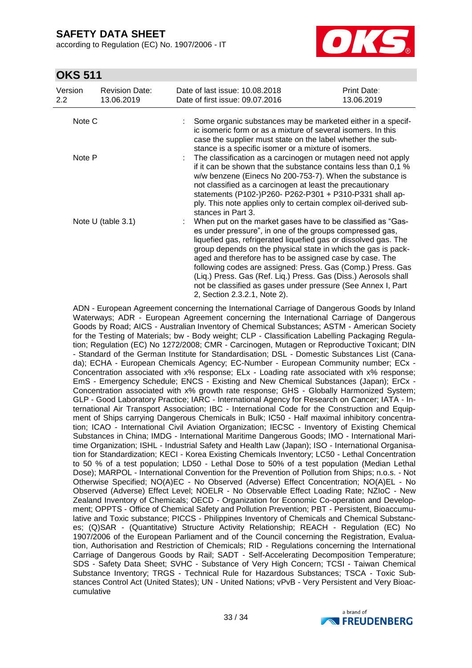according to Regulation (EC) No. 1907/2006 - IT



## **OKS 511**

| Version<br>$2.2^{\circ}$ | <b>Revision Date:</b><br>13.06.2019 | Date of last issue: 10.08.2018<br>Date of first issue: 09.07.2016                                                                                                                                                                                                                                                                                                                                                                                                                                                                                        | Print Date:<br>13.06.2019 |
|--------------------------|-------------------------------------|----------------------------------------------------------------------------------------------------------------------------------------------------------------------------------------------------------------------------------------------------------------------------------------------------------------------------------------------------------------------------------------------------------------------------------------------------------------------------------------------------------------------------------------------------------|---------------------------|
| Note C                   |                                     | Some organic substances may be marketed either in a specif-<br>ic isomeric form or as a mixture of several isomers. In this<br>case the supplier must state on the label whether the sub-<br>stance is a specific isomer or a mixture of isomers.                                                                                                                                                                                                                                                                                                        |                           |
| Note P                   |                                     | The classification as a carcinogen or mutagen need not apply<br>if it can be shown that the substance contains less than 0.1 %<br>w/w benzene (Einecs No 200-753-7). When the substance is<br>not classified as a carcinogen at least the precautionary<br>statements (P102-)P260- P262-P301 + P310-P331 shall ap-<br>ply. This note applies only to certain complex oil-derived sub-<br>stances in Part 3.                                                                                                                                              |                           |
| Note $U$ (table 3.1)     |                                     | When put on the market gases have to be classified as "Gas-<br>es under pressure", in one of the groups compressed gas,<br>liquefied gas, refrigerated liquefied gas or dissolved gas. The<br>group depends on the physical state in which the gas is pack-<br>aged and therefore has to be assigned case by case. The<br>following codes are assigned: Press. Gas (Comp.) Press. Gas<br>(Liq.) Press. Gas (Ref. Liq.) Press. Gas (Diss.) Aerosols shall<br>not be classified as gases under pressure (See Annex I, Part<br>2, Section 2.3.2.1, Note 2). |                           |

ADN - European Agreement concerning the International Carriage of Dangerous Goods by Inland Waterways; ADR - European Agreement concerning the International Carriage of Dangerous Goods by Road; AICS - Australian Inventory of Chemical Substances; ASTM - American Society for the Testing of Materials; bw - Body weight; CLP - Classification Labelling Packaging Regulation; Regulation (EC) No 1272/2008; CMR - Carcinogen, Mutagen or Reproductive Toxicant; DIN - Standard of the German Institute for Standardisation; DSL - Domestic Substances List (Canada); ECHA - European Chemicals Agency; EC-Number - European Community number; ECx - Concentration associated with x% response; ELx - Loading rate associated with x% response; EmS - Emergency Schedule; ENCS - Existing and New Chemical Substances (Japan); ErCx - Concentration associated with x% growth rate response; GHS - Globally Harmonized System; GLP - Good Laboratory Practice; IARC - International Agency for Research on Cancer; IATA - International Air Transport Association; IBC - International Code for the Construction and Equipment of Ships carrying Dangerous Chemicals in Bulk; IC50 - Half maximal inhibitory concentration; ICAO - International Civil Aviation Organization; IECSC - Inventory of Existing Chemical Substances in China; IMDG - International Maritime Dangerous Goods; IMO - International Maritime Organization; ISHL - Industrial Safety and Health Law (Japan); ISO - International Organisation for Standardization; KECI - Korea Existing Chemicals Inventory; LC50 - Lethal Concentration to 50 % of a test population; LD50 - Lethal Dose to 50% of a test population (Median Lethal Dose); MARPOL - International Convention for the Prevention of Pollution from Ships; n.o.s. - Not Otherwise Specified; NO(A)EC - No Observed (Adverse) Effect Concentration; NO(A)EL - No Observed (Adverse) Effect Level; NOELR - No Observable Effect Loading Rate; NZIoC - New Zealand Inventory of Chemicals; OECD - Organization for Economic Co-operation and Development; OPPTS - Office of Chemical Safety and Pollution Prevention; PBT - Persistent, Bioaccumulative and Toxic substance; PICCS - Philippines Inventory of Chemicals and Chemical Substances; (Q)SAR - (Quantitative) Structure Activity Relationship; REACH - Regulation (EC) No 1907/2006 of the European Parliament and of the Council concerning the Registration, Evaluation, Authorisation and Restriction of Chemicals; RID - Regulations concerning the International Carriage of Dangerous Goods by Rail; SADT - Self-Accelerating Decomposition Temperature; SDS - Safety Data Sheet; SVHC - Substance of Very High Concern; TCSI - Taiwan Chemical Substance Inventory; TRGS - Technical Rule for Hazardous Substances; TSCA - Toxic Substances Control Act (United States); UN - United Nations; vPvB - Very Persistent and Very Bioaccumulative